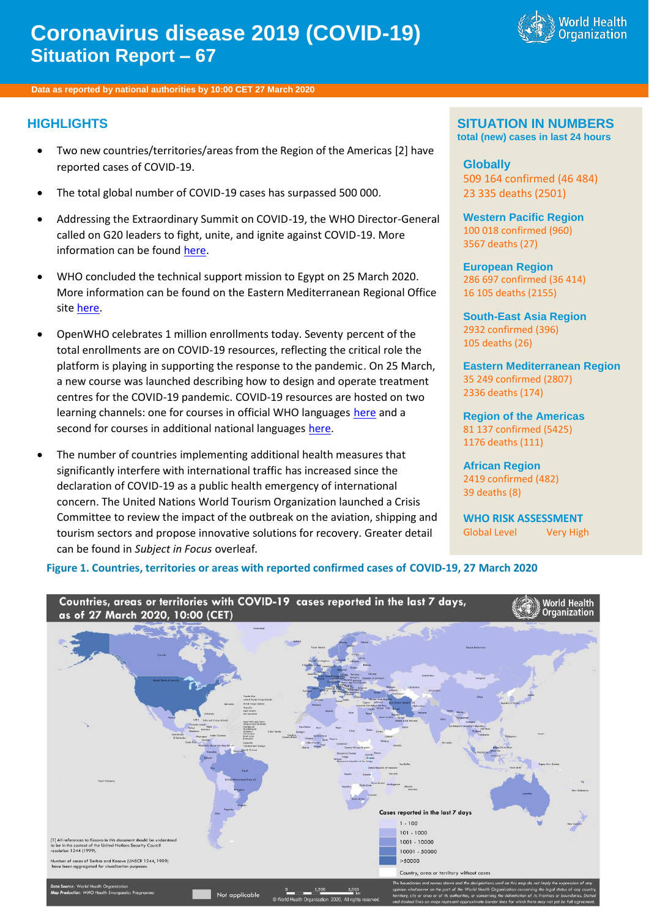# **Coronavirus disease 2019 (COVID-19) Situation Report – 67**



**Data as reported by national authorities by 10:00 CET 27 March 2020**

#### **HIGHLIGHTS**

- Two new countries/territories/areas from the Region of the Americas [2] have reported cases of COVID-19.
- The total global number of COVID-19 cases has surpassed 500 000.
- Addressing the Extraordinary Summit on COVID-19, the WHO Director-General called on G20 leaders to fight, unite, and ignite against COVID-19. More information can be foun[d here.](https://www.who.int/dg/speeches/detail/who-director-general-s-remarks-at-the-g20-extraordinary-leaders-summit-on-covid-19---26-march-2020)
- WHO concluded the technical support mission to Egypt on 25 March 2020. More information can be found on the Eastern Mediterranean Regional Office sit[e here.](http://www.emro.who.int/media/news/who-delegation-concludes-covid-19-technical-mission-to-egypt.html)
- OpenWHO celebrates 1 million enrollments today. Seventy percent of the total enrollments are on COVID-19 resources, reflecting the critical role the platform is playing in supporting the response to the pandemic. On 25 March, a new course was launched describing how to design and operate treatment centres for the COVID-19 pandemic. COVID-19 resources are hosted on two learning channels: one for courses in official WHO languages [here](https://openwho.org/channels/covid-19) and a second for courses in additional national languages [here.](https://openwho.org/channels/covid-19-national-languages)
- The number of countries implementing additional health measures that significantly interfere with international traffic has increased since the declaration of COVID-19 as a public health emergency of international concern. The United Nations World Tourism Organization launched a Crisis Committee to review the impact of the outbreak on the aviation, shipping and tourism sectors and propose innovative solutions for recovery. Greater detail can be found in *Subject in Focus* overleaf*.*

#### **SITUATION IN NUMBERS total (new) cases in last 24 hours**

**Globally** 509 164 confirmed (46 484) 23 335 deaths (2501)

**Western Pacific Region** 100 018 confirmed (960) 3567 deaths (27)

**European Region** 286 697 confirmed (36 414) 16 105 deaths (2155)

**South-East Asia Region** 2932 confirmed (396) 105 deaths (26)

**Eastern Mediterranean Region** 35 249 confirmed (2807) 2336 deaths (174)

**Region of the Americas** 81 137 confirmed (5425) 1176 deaths (111)

**African Region** 2419 confirmed (482) 39 deaths (8)

**WHO RISK ASSESSMENT** Global Level Very High

#### **Figure 1. Countries, territories or areas with reported confirmed cases of COVID-19, 27 March 2020**

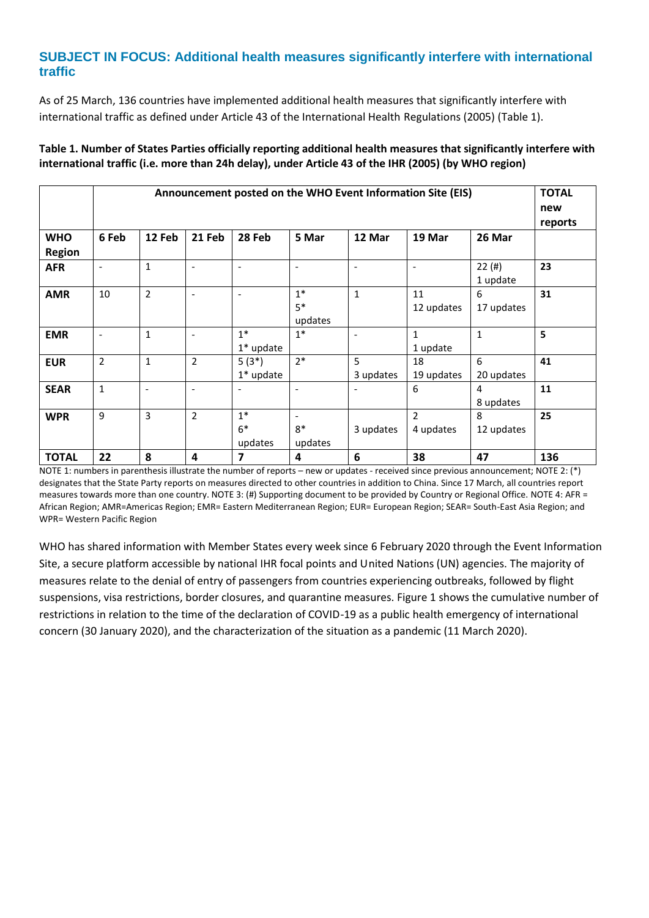# **SUBJECT IN FOCUS: Additional health measures significantly interfere with international traffic**

As of 25 March, 136 countries have implemented additional health measures that significantly interfere with international traffic as defined under Article 43 of the International Health Regulations (2005) (Table 1).

|                             | Announcement posted on the WHO Event Information Site (EIS) |                          |                          |                          |                                             |                          |                                       |                   |         |  |
|-----------------------------|-------------------------------------------------------------|--------------------------|--------------------------|--------------------------|---------------------------------------------|--------------------------|---------------------------------------|-------------------|---------|--|
| <b>WHO</b><br><b>Region</b> | 6 Feb                                                       | 12 Feb                   | 21 Feb                   | 28 Feb                   | 5 Mar                                       | 12 Mar                   | 19 Mar                                | 26 Mar            | reports |  |
| <b>AFR</b>                  | $\overline{a}$                                              | $\mathbf{1}$             | $\blacksquare$           | $\overline{\phantom{a}}$ | ٠                                           | $\overline{\phantom{a}}$ | $\overline{\phantom{a}}$              | 22(#)<br>1 update | 23      |  |
| <b>AMR</b>                  | 10                                                          | 2                        | $\overline{\phantom{a}}$ | $\overline{\phantom{a}}$ | $1*$<br>$5*$<br>updates                     | $\mathbf{1}$             | 11<br>12 updates                      | 6<br>17 updates   | 31      |  |
| <b>EMR</b>                  | $\overline{\phantom{a}}$                                    | $\mathbf{1}$             | $\overline{\phantom{a}}$ | $1*$<br>$1*$ update      | $1*$                                        | $\overline{\phantom{a}}$ | $\mathbf{1}$<br>1 update              | $\mathbf{1}$      | 5       |  |
| <b>EUR</b>                  | $\overline{2}$                                              | $\mathbf{1}$             | $\overline{2}$           | $5(3*)$<br>$1*$ update   | $2*$                                        | 5<br>3 updates           | 18<br>19 updates                      | 6<br>20 updates   | 41      |  |
| <b>SEAR</b>                 | $\mathbf{1}$                                                | $\overline{\phantom{a}}$ | $\overline{\phantom{a}}$ | $\overline{\phantom{a}}$ | $\overline{\phantom{a}}$                    | $\qquad \qquad -$        | 6                                     | 4<br>8 updates    | 11      |  |
| <b>WPR</b>                  | 9                                                           | 3                        | $\overline{2}$           | $1*$<br>$6*$<br>updates  | $\overline{\phantom{a}}$<br>$8*$<br>updates | 3 updates                | $\overline{\phantom{a}}$<br>4 updates | 8<br>12 updates   | 25      |  |
| <b>TOTAL</b>                | 22                                                          | 8                        | 4                        | 7                        | 4                                           | 6                        | 38                                    | 47                | 136     |  |

### **Table 1. Number of States Parties officially reporting additional health measures that significantly interfere with international traffic (i.e. more than 24h delay), under Article 43 of the IHR (2005) (by WHO region)**

NOTE 1: numbers in parenthesis illustrate the number of reports – new or updates - received since previous announcement; NOTE 2: (\*) designates that the State Party reports on measures directed to other countries in addition to China. Since 17 March, all countries report measures towards more than one country. NOTE 3: (#) Supporting document to be provided by Country or Regional Office. NOTE 4: AFR = African Region; AMR=Americas Region; EMR= Eastern Mediterranean Region; EUR= European Region; SEAR= South-East Asia Region; and WPR= Western Pacific Region

WHO has shared information with Member States every week since 6 February 2020 through the Event Information Site, a secure platform accessible by national IHR focal points and United Nations (UN) agencies. The majority of measures relate to the denial of entry of passengers from countries experiencing outbreaks, followed by flight suspensions, visa restrictions, border closures, and quarantine measures. Figure 1 shows the cumulative number of restrictions in relation to the time of the declaration of COVID-19 as a public health emergency of international concern (30 January 2020), and the characterization of the situation as a pandemic (11 March 2020).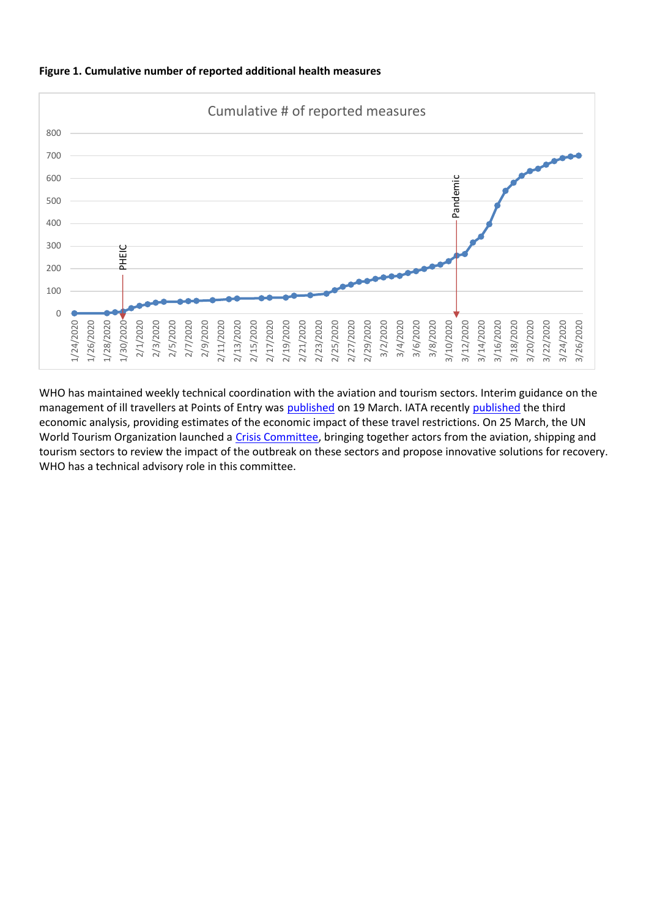

#### **Figure 1. Cumulative number of reported additional health measures**

WHO has maintained weekly technical coordination with the aviation and tourism sectors. Interim guidance on the management of ill travellers at Points of Entry was [published](https://www.iata.org/en/iata-repository/publications/economic-reports/third-impact-assessment/) on 19 March. IATA recently published the third economic analysis, providing estimates of the economic impact of these travel restrictions. On 25 March, the UN World Tourism Organization launched a [Crisis Committee,](https://www.unwto.org/unwto-convenes-global-tourism-crisis-committee) bringing together actors from the aviation, shipping and tourism sectors to review the impact of the outbreak on these sectors and propose innovative solutions for recovery. WHO has a technical advisory role in this committee.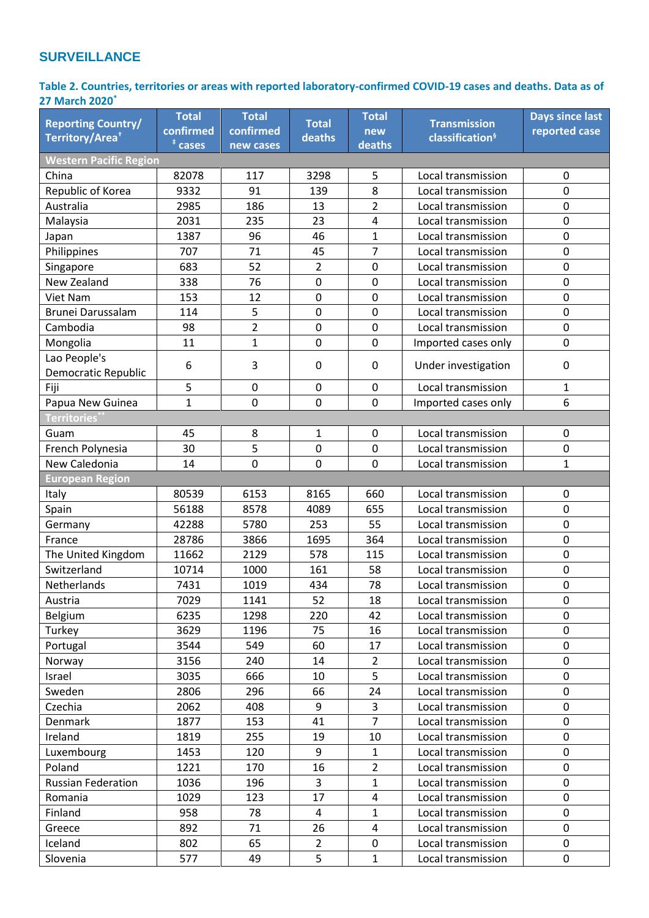# **SURVEILLANCE**

**Table 2. Countries, territories or areas with reported laboratory-confirmed COVID-19 cases and deaths. Data as of 27 March 2020\***

| Territory/Area <sup>+</sup><br>classification <sup>§</sup><br>deaths<br>$†$ cases<br>deaths<br>new cases<br><b>Western Pacific Region</b><br>82078<br>China<br>117<br>3298<br>5<br>Local transmission<br>$\pmb{0}$<br>8<br>$\mathbf 0$<br>Republic of Korea<br>9332<br>91<br>139<br>Local transmission<br>$\mathbf 0$<br>Australia<br>2985<br>186<br>$\overline{2}$<br>Local transmission<br>13<br>2031<br>235<br>23<br>4<br>$\mathbf 0$<br>Malaysia<br>Local transmission<br>0<br>$\mathbf{1}$<br>1387<br>96<br>46<br>Local transmission<br>Japan<br>7<br>45<br>$\mathbf 0$<br>Philippines<br>707<br>71<br>Local transmission<br>683<br>52<br>$\overline{2}$<br>$\mathbf 0$<br>$\mathbf 0$<br>Local transmission<br>Singapore<br>338<br>76<br>0<br>0<br>New Zealand<br>0<br>Local transmission<br>$\mathbf 0$<br>153<br>$\mathbf 0$<br>0<br>12<br>Local transmission<br>Viet Nam<br>5<br>Brunei Darussalam<br>0<br>0<br>114<br>$\pmb{0}$<br>Local transmission<br>$\overline{2}$<br>98<br>$\mathbf 0$<br>0<br>$\mathbf 0$<br>Cambodia<br>Local transmission<br>$\mathbf{1}$<br>$\mathbf 0$<br>11<br>$\mathbf 0$<br>0<br>Mongolia<br>Imported cases only<br>Lao People's<br>6<br>3<br>$\pmb{0}$<br>Under investigation<br>0<br>0<br>Democratic Republic<br>5<br>0<br>$\mathbf 0$<br>$\mathbf 0$<br>Local transmission<br>1<br>Fiji<br>0<br>6<br>Papua New Guinea<br>$\mathbf{1}$<br>$\mathbf 0$<br>0<br>Imported cases only<br>Territories <sup>*</sup><br>45<br>8<br>$\mathbf{1}$<br>$\pmb{0}$<br>Local transmission<br>0<br>Guam<br>5<br>30<br>French Polynesia<br>Local transmission<br>0<br>0<br>0<br>New Caledonia<br>0<br>$\mathbf 0$<br>$\mathbf{1}$<br>0<br>14<br>Local transmission<br><b>European Region</b><br>80539<br>6153<br>8165<br>660<br>Local transmission<br>0<br><b>Italy</b><br>8578<br>4089<br>655<br>56188<br>Local transmission<br>0<br>Spain<br>$\mathbf 0$<br>42288<br>5780<br>253<br>55<br>Local transmission<br>Germany<br>$\mathbf 0$<br>28786<br>3866<br>1695<br>364<br>Local transmission<br>France<br>$\mathbf 0$<br>2129<br>578<br>The United Kingdom<br>11662<br>115<br>Local transmission<br>$\pmb{0}$<br>Switzerland<br>10714<br>1000<br>161<br>58<br>Local transmission<br>78<br>$\mathbf 0$<br>Netherlands<br>7431<br>1019<br>434<br>Local transmission<br>7029<br>1141<br>52<br>18<br>0<br>Austria<br>Local transmission<br>$\mathbf 0$<br>6235<br>1298<br>220<br>42<br>Local transmission<br>Belgium<br>$\mathbf 0$<br>3629<br>1196<br>75<br>16<br>Turkey<br>Local transmission<br>3544<br>549<br>17<br>0<br>Portugal<br>60<br>Local transmission<br>3156<br>240<br>$\overline{2}$<br>Local transmission<br>0<br>14<br>Norway<br>5<br>$\pmb{0}$<br>3035<br>666<br>Israel<br>10<br>Local transmission<br>0<br>2806<br>296<br>24<br>Local transmission<br>Sweden<br>66<br>2062<br>408<br>9<br>3<br>$\mathbf 0$<br>Czechia<br>Local transmission<br>$\overline{7}$<br>0<br>1877<br>153<br>41<br>Denmark<br>Local transmission<br>Ireland<br>255<br>10<br>0<br>1819<br>19<br>Local transmission<br>1453<br>120<br>9<br>$\overline{0}$<br>Luxembourg<br>$\mathbf{1}$<br>Local transmission<br>1221<br>170<br>$\overline{2}$<br>0<br>Poland<br>16<br>Local transmission<br>1036<br>196<br>3<br>$\mathbf{1}$<br>0<br><b>Russian Federation</b><br>Local transmission<br>1029<br>123<br>$\mathbf 0$<br>17<br>4<br>Local transmission<br>Romania<br>0<br>Finland<br>958<br>78<br>4<br>$\mathbf{1}$<br>Local transmission<br>892<br>26<br>Local transmission<br>0<br>Greece<br>71<br>4<br>802<br>0<br>Iceland<br>65<br>$\overline{2}$<br>0<br>Local transmission<br>5<br>$\mathbf{1}$<br>0<br>Slovenia<br>577<br>49<br>Local transmission | <b>Reporting Country/</b> | <b>Total</b> | <b>Total</b> | <b>Total</b> | <b>Total</b> | <b>Transmission</b> | <b>Days since last</b> |
|-------------------------------------------------------------------------------------------------------------------------------------------------------------------------------------------------------------------------------------------------------------------------------------------------------------------------------------------------------------------------------------------------------------------------------------------------------------------------------------------------------------------------------------------------------------------------------------------------------------------------------------------------------------------------------------------------------------------------------------------------------------------------------------------------------------------------------------------------------------------------------------------------------------------------------------------------------------------------------------------------------------------------------------------------------------------------------------------------------------------------------------------------------------------------------------------------------------------------------------------------------------------------------------------------------------------------------------------------------------------------------------------------------------------------------------------------------------------------------------------------------------------------------------------------------------------------------------------------------------------------------------------------------------------------------------------------------------------------------------------------------------------------------------------------------------------------------------------------------------------------------------------------------------------------------------------------------------------------------------------------------------------------------------------------------------------------------------------------------------------------------------------------------------------------------------------------------------------------------------------------------------------------------------------------------------------------------------------------------------------------------------------------------------------------------------------------------------------------------------------------------------------------------------------------------------------------------------------------------------------------------------------------------------------------------------------------------------------------------------------------------------------------------------------------------------------------------------------------------------------------------------------------------------------------------------------------------------------------------------------------------------------------------------------------------------------------------------------------------------------------------------------------------------------------------------------------------------------------------------------------------------------------------------------------------------------------------------------------------------------------------------------------------------------------------------------------------------------------------------------------------------------------------------------------------------------------------------------------------------------------------------------------------------------------|---------------------------|--------------|--------------|--------------|--------------|---------------------|------------------------|
|                                                                                                                                                                                                                                                                                                                                                                                                                                                                                                                                                                                                                                                                                                                                                                                                                                                                                                                                                                                                                                                                                                                                                                                                                                                                                                                                                                                                                                                                                                                                                                                                                                                                                                                                                                                                                                                                                                                                                                                                                                                                                                                                                                                                                                                                                                                                                                                                                                                                                                                                                                                                                                                                                                                                                                                                                                                                                                                                                                                                                                                                                                                                                                                                                                                                                                                                                                                                                                                                                                                                                                                                                                                                         |                           | confirmed    | confirmed    |              | new          |                     | reported case          |
|                                                                                                                                                                                                                                                                                                                                                                                                                                                                                                                                                                                                                                                                                                                                                                                                                                                                                                                                                                                                                                                                                                                                                                                                                                                                                                                                                                                                                                                                                                                                                                                                                                                                                                                                                                                                                                                                                                                                                                                                                                                                                                                                                                                                                                                                                                                                                                                                                                                                                                                                                                                                                                                                                                                                                                                                                                                                                                                                                                                                                                                                                                                                                                                                                                                                                                                                                                                                                                                                                                                                                                                                                                                                         |                           |              |              |              |              |                     |                        |
|                                                                                                                                                                                                                                                                                                                                                                                                                                                                                                                                                                                                                                                                                                                                                                                                                                                                                                                                                                                                                                                                                                                                                                                                                                                                                                                                                                                                                                                                                                                                                                                                                                                                                                                                                                                                                                                                                                                                                                                                                                                                                                                                                                                                                                                                                                                                                                                                                                                                                                                                                                                                                                                                                                                                                                                                                                                                                                                                                                                                                                                                                                                                                                                                                                                                                                                                                                                                                                                                                                                                                                                                                                                                         |                           |              |              |              |              |                     |                        |
|                                                                                                                                                                                                                                                                                                                                                                                                                                                                                                                                                                                                                                                                                                                                                                                                                                                                                                                                                                                                                                                                                                                                                                                                                                                                                                                                                                                                                                                                                                                                                                                                                                                                                                                                                                                                                                                                                                                                                                                                                                                                                                                                                                                                                                                                                                                                                                                                                                                                                                                                                                                                                                                                                                                                                                                                                                                                                                                                                                                                                                                                                                                                                                                                                                                                                                                                                                                                                                                                                                                                                                                                                                                                         |                           |              |              |              |              |                     |                        |
|                                                                                                                                                                                                                                                                                                                                                                                                                                                                                                                                                                                                                                                                                                                                                                                                                                                                                                                                                                                                                                                                                                                                                                                                                                                                                                                                                                                                                                                                                                                                                                                                                                                                                                                                                                                                                                                                                                                                                                                                                                                                                                                                                                                                                                                                                                                                                                                                                                                                                                                                                                                                                                                                                                                                                                                                                                                                                                                                                                                                                                                                                                                                                                                                                                                                                                                                                                                                                                                                                                                                                                                                                                                                         |                           |              |              |              |              |                     |                        |
|                                                                                                                                                                                                                                                                                                                                                                                                                                                                                                                                                                                                                                                                                                                                                                                                                                                                                                                                                                                                                                                                                                                                                                                                                                                                                                                                                                                                                                                                                                                                                                                                                                                                                                                                                                                                                                                                                                                                                                                                                                                                                                                                                                                                                                                                                                                                                                                                                                                                                                                                                                                                                                                                                                                                                                                                                                                                                                                                                                                                                                                                                                                                                                                                                                                                                                                                                                                                                                                                                                                                                                                                                                                                         |                           |              |              |              |              |                     |                        |
|                                                                                                                                                                                                                                                                                                                                                                                                                                                                                                                                                                                                                                                                                                                                                                                                                                                                                                                                                                                                                                                                                                                                                                                                                                                                                                                                                                                                                                                                                                                                                                                                                                                                                                                                                                                                                                                                                                                                                                                                                                                                                                                                                                                                                                                                                                                                                                                                                                                                                                                                                                                                                                                                                                                                                                                                                                                                                                                                                                                                                                                                                                                                                                                                                                                                                                                                                                                                                                                                                                                                                                                                                                                                         |                           |              |              |              |              |                     |                        |
|                                                                                                                                                                                                                                                                                                                                                                                                                                                                                                                                                                                                                                                                                                                                                                                                                                                                                                                                                                                                                                                                                                                                                                                                                                                                                                                                                                                                                                                                                                                                                                                                                                                                                                                                                                                                                                                                                                                                                                                                                                                                                                                                                                                                                                                                                                                                                                                                                                                                                                                                                                                                                                                                                                                                                                                                                                                                                                                                                                                                                                                                                                                                                                                                                                                                                                                                                                                                                                                                                                                                                                                                                                                                         |                           |              |              |              |              |                     |                        |
|                                                                                                                                                                                                                                                                                                                                                                                                                                                                                                                                                                                                                                                                                                                                                                                                                                                                                                                                                                                                                                                                                                                                                                                                                                                                                                                                                                                                                                                                                                                                                                                                                                                                                                                                                                                                                                                                                                                                                                                                                                                                                                                                                                                                                                                                                                                                                                                                                                                                                                                                                                                                                                                                                                                                                                                                                                                                                                                                                                                                                                                                                                                                                                                                                                                                                                                                                                                                                                                                                                                                                                                                                                                                         |                           |              |              |              |              |                     |                        |
|                                                                                                                                                                                                                                                                                                                                                                                                                                                                                                                                                                                                                                                                                                                                                                                                                                                                                                                                                                                                                                                                                                                                                                                                                                                                                                                                                                                                                                                                                                                                                                                                                                                                                                                                                                                                                                                                                                                                                                                                                                                                                                                                                                                                                                                                                                                                                                                                                                                                                                                                                                                                                                                                                                                                                                                                                                                                                                                                                                                                                                                                                                                                                                                                                                                                                                                                                                                                                                                                                                                                                                                                                                                                         |                           |              |              |              |              |                     |                        |
|                                                                                                                                                                                                                                                                                                                                                                                                                                                                                                                                                                                                                                                                                                                                                                                                                                                                                                                                                                                                                                                                                                                                                                                                                                                                                                                                                                                                                                                                                                                                                                                                                                                                                                                                                                                                                                                                                                                                                                                                                                                                                                                                                                                                                                                                                                                                                                                                                                                                                                                                                                                                                                                                                                                                                                                                                                                                                                                                                                                                                                                                                                                                                                                                                                                                                                                                                                                                                                                                                                                                                                                                                                                                         |                           |              |              |              |              |                     |                        |
|                                                                                                                                                                                                                                                                                                                                                                                                                                                                                                                                                                                                                                                                                                                                                                                                                                                                                                                                                                                                                                                                                                                                                                                                                                                                                                                                                                                                                                                                                                                                                                                                                                                                                                                                                                                                                                                                                                                                                                                                                                                                                                                                                                                                                                                                                                                                                                                                                                                                                                                                                                                                                                                                                                                                                                                                                                                                                                                                                                                                                                                                                                                                                                                                                                                                                                                                                                                                                                                                                                                                                                                                                                                                         |                           |              |              |              |              |                     |                        |
|                                                                                                                                                                                                                                                                                                                                                                                                                                                                                                                                                                                                                                                                                                                                                                                                                                                                                                                                                                                                                                                                                                                                                                                                                                                                                                                                                                                                                                                                                                                                                                                                                                                                                                                                                                                                                                                                                                                                                                                                                                                                                                                                                                                                                                                                                                                                                                                                                                                                                                                                                                                                                                                                                                                                                                                                                                                                                                                                                                                                                                                                                                                                                                                                                                                                                                                                                                                                                                                                                                                                                                                                                                                                         |                           |              |              |              |              |                     |                        |
|                                                                                                                                                                                                                                                                                                                                                                                                                                                                                                                                                                                                                                                                                                                                                                                                                                                                                                                                                                                                                                                                                                                                                                                                                                                                                                                                                                                                                                                                                                                                                                                                                                                                                                                                                                                                                                                                                                                                                                                                                                                                                                                                                                                                                                                                                                                                                                                                                                                                                                                                                                                                                                                                                                                                                                                                                                                                                                                                                                                                                                                                                                                                                                                                                                                                                                                                                                                                                                                                                                                                                                                                                                                                         |                           |              |              |              |              |                     |                        |
|                                                                                                                                                                                                                                                                                                                                                                                                                                                                                                                                                                                                                                                                                                                                                                                                                                                                                                                                                                                                                                                                                                                                                                                                                                                                                                                                                                                                                                                                                                                                                                                                                                                                                                                                                                                                                                                                                                                                                                                                                                                                                                                                                                                                                                                                                                                                                                                                                                                                                                                                                                                                                                                                                                                                                                                                                                                                                                                                                                                                                                                                                                                                                                                                                                                                                                                                                                                                                                                                                                                                                                                                                                                                         |                           |              |              |              |              |                     |                        |
|                                                                                                                                                                                                                                                                                                                                                                                                                                                                                                                                                                                                                                                                                                                                                                                                                                                                                                                                                                                                                                                                                                                                                                                                                                                                                                                                                                                                                                                                                                                                                                                                                                                                                                                                                                                                                                                                                                                                                                                                                                                                                                                                                                                                                                                                                                                                                                                                                                                                                                                                                                                                                                                                                                                                                                                                                                                                                                                                                                                                                                                                                                                                                                                                                                                                                                                                                                                                                                                                                                                                                                                                                                                                         |                           |              |              |              |              |                     |                        |
|                                                                                                                                                                                                                                                                                                                                                                                                                                                                                                                                                                                                                                                                                                                                                                                                                                                                                                                                                                                                                                                                                                                                                                                                                                                                                                                                                                                                                                                                                                                                                                                                                                                                                                                                                                                                                                                                                                                                                                                                                                                                                                                                                                                                                                                                                                                                                                                                                                                                                                                                                                                                                                                                                                                                                                                                                                                                                                                                                                                                                                                                                                                                                                                                                                                                                                                                                                                                                                                                                                                                                                                                                                                                         |                           |              |              |              |              |                     |                        |
|                                                                                                                                                                                                                                                                                                                                                                                                                                                                                                                                                                                                                                                                                                                                                                                                                                                                                                                                                                                                                                                                                                                                                                                                                                                                                                                                                                                                                                                                                                                                                                                                                                                                                                                                                                                                                                                                                                                                                                                                                                                                                                                                                                                                                                                                                                                                                                                                                                                                                                                                                                                                                                                                                                                                                                                                                                                                                                                                                                                                                                                                                                                                                                                                                                                                                                                                                                                                                                                                                                                                                                                                                                                                         |                           |              |              |              |              |                     |                        |
|                                                                                                                                                                                                                                                                                                                                                                                                                                                                                                                                                                                                                                                                                                                                                                                                                                                                                                                                                                                                                                                                                                                                                                                                                                                                                                                                                                                                                                                                                                                                                                                                                                                                                                                                                                                                                                                                                                                                                                                                                                                                                                                                                                                                                                                                                                                                                                                                                                                                                                                                                                                                                                                                                                                                                                                                                                                                                                                                                                                                                                                                                                                                                                                                                                                                                                                                                                                                                                                                                                                                                                                                                                                                         |                           |              |              |              |              |                     |                        |
|                                                                                                                                                                                                                                                                                                                                                                                                                                                                                                                                                                                                                                                                                                                                                                                                                                                                                                                                                                                                                                                                                                                                                                                                                                                                                                                                                                                                                                                                                                                                                                                                                                                                                                                                                                                                                                                                                                                                                                                                                                                                                                                                                                                                                                                                                                                                                                                                                                                                                                                                                                                                                                                                                                                                                                                                                                                                                                                                                                                                                                                                                                                                                                                                                                                                                                                                                                                                                                                                                                                                                                                                                                                                         |                           |              |              |              |              |                     |                        |
|                                                                                                                                                                                                                                                                                                                                                                                                                                                                                                                                                                                                                                                                                                                                                                                                                                                                                                                                                                                                                                                                                                                                                                                                                                                                                                                                                                                                                                                                                                                                                                                                                                                                                                                                                                                                                                                                                                                                                                                                                                                                                                                                                                                                                                                                                                                                                                                                                                                                                                                                                                                                                                                                                                                                                                                                                                                                                                                                                                                                                                                                                                                                                                                                                                                                                                                                                                                                                                                                                                                                                                                                                                                                         |                           |              |              |              |              |                     |                        |
|                                                                                                                                                                                                                                                                                                                                                                                                                                                                                                                                                                                                                                                                                                                                                                                                                                                                                                                                                                                                                                                                                                                                                                                                                                                                                                                                                                                                                                                                                                                                                                                                                                                                                                                                                                                                                                                                                                                                                                                                                                                                                                                                                                                                                                                                                                                                                                                                                                                                                                                                                                                                                                                                                                                                                                                                                                                                                                                                                                                                                                                                                                                                                                                                                                                                                                                                                                                                                                                                                                                                                                                                                                                                         |                           |              |              |              |              |                     |                        |
|                                                                                                                                                                                                                                                                                                                                                                                                                                                                                                                                                                                                                                                                                                                                                                                                                                                                                                                                                                                                                                                                                                                                                                                                                                                                                                                                                                                                                                                                                                                                                                                                                                                                                                                                                                                                                                                                                                                                                                                                                                                                                                                                                                                                                                                                                                                                                                                                                                                                                                                                                                                                                                                                                                                                                                                                                                                                                                                                                                                                                                                                                                                                                                                                                                                                                                                                                                                                                                                                                                                                                                                                                                                                         |                           |              |              |              |              |                     |                        |
|                                                                                                                                                                                                                                                                                                                                                                                                                                                                                                                                                                                                                                                                                                                                                                                                                                                                                                                                                                                                                                                                                                                                                                                                                                                                                                                                                                                                                                                                                                                                                                                                                                                                                                                                                                                                                                                                                                                                                                                                                                                                                                                                                                                                                                                                                                                                                                                                                                                                                                                                                                                                                                                                                                                                                                                                                                                                                                                                                                                                                                                                                                                                                                                                                                                                                                                                                                                                                                                                                                                                                                                                                                                                         |                           |              |              |              |              |                     |                        |
|                                                                                                                                                                                                                                                                                                                                                                                                                                                                                                                                                                                                                                                                                                                                                                                                                                                                                                                                                                                                                                                                                                                                                                                                                                                                                                                                                                                                                                                                                                                                                                                                                                                                                                                                                                                                                                                                                                                                                                                                                                                                                                                                                                                                                                                                                                                                                                                                                                                                                                                                                                                                                                                                                                                                                                                                                                                                                                                                                                                                                                                                                                                                                                                                                                                                                                                                                                                                                                                                                                                                                                                                                                                                         |                           |              |              |              |              |                     |                        |
|                                                                                                                                                                                                                                                                                                                                                                                                                                                                                                                                                                                                                                                                                                                                                                                                                                                                                                                                                                                                                                                                                                                                                                                                                                                                                                                                                                                                                                                                                                                                                                                                                                                                                                                                                                                                                                                                                                                                                                                                                                                                                                                                                                                                                                                                                                                                                                                                                                                                                                                                                                                                                                                                                                                                                                                                                                                                                                                                                                                                                                                                                                                                                                                                                                                                                                                                                                                                                                                                                                                                                                                                                                                                         |                           |              |              |              |              |                     |                        |
|                                                                                                                                                                                                                                                                                                                                                                                                                                                                                                                                                                                                                                                                                                                                                                                                                                                                                                                                                                                                                                                                                                                                                                                                                                                                                                                                                                                                                                                                                                                                                                                                                                                                                                                                                                                                                                                                                                                                                                                                                                                                                                                                                                                                                                                                                                                                                                                                                                                                                                                                                                                                                                                                                                                                                                                                                                                                                                                                                                                                                                                                                                                                                                                                                                                                                                                                                                                                                                                                                                                                                                                                                                                                         |                           |              |              |              |              |                     |                        |
|                                                                                                                                                                                                                                                                                                                                                                                                                                                                                                                                                                                                                                                                                                                                                                                                                                                                                                                                                                                                                                                                                                                                                                                                                                                                                                                                                                                                                                                                                                                                                                                                                                                                                                                                                                                                                                                                                                                                                                                                                                                                                                                                                                                                                                                                                                                                                                                                                                                                                                                                                                                                                                                                                                                                                                                                                                                                                                                                                                                                                                                                                                                                                                                                                                                                                                                                                                                                                                                                                                                                                                                                                                                                         |                           |              |              |              |              |                     |                        |
|                                                                                                                                                                                                                                                                                                                                                                                                                                                                                                                                                                                                                                                                                                                                                                                                                                                                                                                                                                                                                                                                                                                                                                                                                                                                                                                                                                                                                                                                                                                                                                                                                                                                                                                                                                                                                                                                                                                                                                                                                                                                                                                                                                                                                                                                                                                                                                                                                                                                                                                                                                                                                                                                                                                                                                                                                                                                                                                                                                                                                                                                                                                                                                                                                                                                                                                                                                                                                                                                                                                                                                                                                                                                         |                           |              |              |              |              |                     |                        |
|                                                                                                                                                                                                                                                                                                                                                                                                                                                                                                                                                                                                                                                                                                                                                                                                                                                                                                                                                                                                                                                                                                                                                                                                                                                                                                                                                                                                                                                                                                                                                                                                                                                                                                                                                                                                                                                                                                                                                                                                                                                                                                                                                                                                                                                                                                                                                                                                                                                                                                                                                                                                                                                                                                                                                                                                                                                                                                                                                                                                                                                                                                                                                                                                                                                                                                                                                                                                                                                                                                                                                                                                                                                                         |                           |              |              |              |              |                     |                        |
|                                                                                                                                                                                                                                                                                                                                                                                                                                                                                                                                                                                                                                                                                                                                                                                                                                                                                                                                                                                                                                                                                                                                                                                                                                                                                                                                                                                                                                                                                                                                                                                                                                                                                                                                                                                                                                                                                                                                                                                                                                                                                                                                                                                                                                                                                                                                                                                                                                                                                                                                                                                                                                                                                                                                                                                                                                                                                                                                                                                                                                                                                                                                                                                                                                                                                                                                                                                                                                                                                                                                                                                                                                                                         |                           |              |              |              |              |                     |                        |
|                                                                                                                                                                                                                                                                                                                                                                                                                                                                                                                                                                                                                                                                                                                                                                                                                                                                                                                                                                                                                                                                                                                                                                                                                                                                                                                                                                                                                                                                                                                                                                                                                                                                                                                                                                                                                                                                                                                                                                                                                                                                                                                                                                                                                                                                                                                                                                                                                                                                                                                                                                                                                                                                                                                                                                                                                                                                                                                                                                                                                                                                                                                                                                                                                                                                                                                                                                                                                                                                                                                                                                                                                                                                         |                           |              |              |              |              |                     |                        |
|                                                                                                                                                                                                                                                                                                                                                                                                                                                                                                                                                                                                                                                                                                                                                                                                                                                                                                                                                                                                                                                                                                                                                                                                                                                                                                                                                                                                                                                                                                                                                                                                                                                                                                                                                                                                                                                                                                                                                                                                                                                                                                                                                                                                                                                                                                                                                                                                                                                                                                                                                                                                                                                                                                                                                                                                                                                                                                                                                                                                                                                                                                                                                                                                                                                                                                                                                                                                                                                                                                                                                                                                                                                                         |                           |              |              |              |              |                     |                        |
|                                                                                                                                                                                                                                                                                                                                                                                                                                                                                                                                                                                                                                                                                                                                                                                                                                                                                                                                                                                                                                                                                                                                                                                                                                                                                                                                                                                                                                                                                                                                                                                                                                                                                                                                                                                                                                                                                                                                                                                                                                                                                                                                                                                                                                                                                                                                                                                                                                                                                                                                                                                                                                                                                                                                                                                                                                                                                                                                                                                                                                                                                                                                                                                                                                                                                                                                                                                                                                                                                                                                                                                                                                                                         |                           |              |              |              |              |                     |                        |
|                                                                                                                                                                                                                                                                                                                                                                                                                                                                                                                                                                                                                                                                                                                                                                                                                                                                                                                                                                                                                                                                                                                                                                                                                                                                                                                                                                                                                                                                                                                                                                                                                                                                                                                                                                                                                                                                                                                                                                                                                                                                                                                                                                                                                                                                                                                                                                                                                                                                                                                                                                                                                                                                                                                                                                                                                                                                                                                                                                                                                                                                                                                                                                                                                                                                                                                                                                                                                                                                                                                                                                                                                                                                         |                           |              |              |              |              |                     |                        |
|                                                                                                                                                                                                                                                                                                                                                                                                                                                                                                                                                                                                                                                                                                                                                                                                                                                                                                                                                                                                                                                                                                                                                                                                                                                                                                                                                                                                                                                                                                                                                                                                                                                                                                                                                                                                                                                                                                                                                                                                                                                                                                                                                                                                                                                                                                                                                                                                                                                                                                                                                                                                                                                                                                                                                                                                                                                                                                                                                                                                                                                                                                                                                                                                                                                                                                                                                                                                                                                                                                                                                                                                                                                                         |                           |              |              |              |              |                     |                        |
|                                                                                                                                                                                                                                                                                                                                                                                                                                                                                                                                                                                                                                                                                                                                                                                                                                                                                                                                                                                                                                                                                                                                                                                                                                                                                                                                                                                                                                                                                                                                                                                                                                                                                                                                                                                                                                                                                                                                                                                                                                                                                                                                                                                                                                                                                                                                                                                                                                                                                                                                                                                                                                                                                                                                                                                                                                                                                                                                                                                                                                                                                                                                                                                                                                                                                                                                                                                                                                                                                                                                                                                                                                                                         |                           |              |              |              |              |                     |                        |
|                                                                                                                                                                                                                                                                                                                                                                                                                                                                                                                                                                                                                                                                                                                                                                                                                                                                                                                                                                                                                                                                                                                                                                                                                                                                                                                                                                                                                                                                                                                                                                                                                                                                                                                                                                                                                                                                                                                                                                                                                                                                                                                                                                                                                                                                                                                                                                                                                                                                                                                                                                                                                                                                                                                                                                                                                                                                                                                                                                                                                                                                                                                                                                                                                                                                                                                                                                                                                                                                                                                                                                                                                                                                         |                           |              |              |              |              |                     |                        |
|                                                                                                                                                                                                                                                                                                                                                                                                                                                                                                                                                                                                                                                                                                                                                                                                                                                                                                                                                                                                                                                                                                                                                                                                                                                                                                                                                                                                                                                                                                                                                                                                                                                                                                                                                                                                                                                                                                                                                                                                                                                                                                                                                                                                                                                                                                                                                                                                                                                                                                                                                                                                                                                                                                                                                                                                                                                                                                                                                                                                                                                                                                                                                                                                                                                                                                                                                                                                                                                                                                                                                                                                                                                                         |                           |              |              |              |              |                     |                        |
|                                                                                                                                                                                                                                                                                                                                                                                                                                                                                                                                                                                                                                                                                                                                                                                                                                                                                                                                                                                                                                                                                                                                                                                                                                                                                                                                                                                                                                                                                                                                                                                                                                                                                                                                                                                                                                                                                                                                                                                                                                                                                                                                                                                                                                                                                                                                                                                                                                                                                                                                                                                                                                                                                                                                                                                                                                                                                                                                                                                                                                                                                                                                                                                                                                                                                                                                                                                                                                                                                                                                                                                                                                                                         |                           |              |              |              |              |                     |                        |
|                                                                                                                                                                                                                                                                                                                                                                                                                                                                                                                                                                                                                                                                                                                                                                                                                                                                                                                                                                                                                                                                                                                                                                                                                                                                                                                                                                                                                                                                                                                                                                                                                                                                                                                                                                                                                                                                                                                                                                                                                                                                                                                                                                                                                                                                                                                                                                                                                                                                                                                                                                                                                                                                                                                                                                                                                                                                                                                                                                                                                                                                                                                                                                                                                                                                                                                                                                                                                                                                                                                                                                                                                                                                         |                           |              |              |              |              |                     |                        |
|                                                                                                                                                                                                                                                                                                                                                                                                                                                                                                                                                                                                                                                                                                                                                                                                                                                                                                                                                                                                                                                                                                                                                                                                                                                                                                                                                                                                                                                                                                                                                                                                                                                                                                                                                                                                                                                                                                                                                                                                                                                                                                                                                                                                                                                                                                                                                                                                                                                                                                                                                                                                                                                                                                                                                                                                                                                                                                                                                                                                                                                                                                                                                                                                                                                                                                                                                                                                                                                                                                                                                                                                                                                                         |                           |              |              |              |              |                     |                        |
|                                                                                                                                                                                                                                                                                                                                                                                                                                                                                                                                                                                                                                                                                                                                                                                                                                                                                                                                                                                                                                                                                                                                                                                                                                                                                                                                                                                                                                                                                                                                                                                                                                                                                                                                                                                                                                                                                                                                                                                                                                                                                                                                                                                                                                                                                                                                                                                                                                                                                                                                                                                                                                                                                                                                                                                                                                                                                                                                                                                                                                                                                                                                                                                                                                                                                                                                                                                                                                                                                                                                                                                                                                                                         |                           |              |              |              |              |                     |                        |
|                                                                                                                                                                                                                                                                                                                                                                                                                                                                                                                                                                                                                                                                                                                                                                                                                                                                                                                                                                                                                                                                                                                                                                                                                                                                                                                                                                                                                                                                                                                                                                                                                                                                                                                                                                                                                                                                                                                                                                                                                                                                                                                                                                                                                                                                                                                                                                                                                                                                                                                                                                                                                                                                                                                                                                                                                                                                                                                                                                                                                                                                                                                                                                                                                                                                                                                                                                                                                                                                                                                                                                                                                                                                         |                           |              |              |              |              |                     |                        |
|                                                                                                                                                                                                                                                                                                                                                                                                                                                                                                                                                                                                                                                                                                                                                                                                                                                                                                                                                                                                                                                                                                                                                                                                                                                                                                                                                                                                                                                                                                                                                                                                                                                                                                                                                                                                                                                                                                                                                                                                                                                                                                                                                                                                                                                                                                                                                                                                                                                                                                                                                                                                                                                                                                                                                                                                                                                                                                                                                                                                                                                                                                                                                                                                                                                                                                                                                                                                                                                                                                                                                                                                                                                                         |                           |              |              |              |              |                     |                        |
|                                                                                                                                                                                                                                                                                                                                                                                                                                                                                                                                                                                                                                                                                                                                                                                                                                                                                                                                                                                                                                                                                                                                                                                                                                                                                                                                                                                                                                                                                                                                                                                                                                                                                                                                                                                                                                                                                                                                                                                                                                                                                                                                                                                                                                                                                                                                                                                                                                                                                                                                                                                                                                                                                                                                                                                                                                                                                                                                                                                                                                                                                                                                                                                                                                                                                                                                                                                                                                                                                                                                                                                                                                                                         |                           |              |              |              |              |                     |                        |
|                                                                                                                                                                                                                                                                                                                                                                                                                                                                                                                                                                                                                                                                                                                                                                                                                                                                                                                                                                                                                                                                                                                                                                                                                                                                                                                                                                                                                                                                                                                                                                                                                                                                                                                                                                                                                                                                                                                                                                                                                                                                                                                                                                                                                                                                                                                                                                                                                                                                                                                                                                                                                                                                                                                                                                                                                                                                                                                                                                                                                                                                                                                                                                                                                                                                                                                                                                                                                                                                                                                                                                                                                                                                         |                           |              |              |              |              |                     |                        |
|                                                                                                                                                                                                                                                                                                                                                                                                                                                                                                                                                                                                                                                                                                                                                                                                                                                                                                                                                                                                                                                                                                                                                                                                                                                                                                                                                                                                                                                                                                                                                                                                                                                                                                                                                                                                                                                                                                                                                                                                                                                                                                                                                                                                                                                                                                                                                                                                                                                                                                                                                                                                                                                                                                                                                                                                                                                                                                                                                                                                                                                                                                                                                                                                                                                                                                                                                                                                                                                                                                                                                                                                                                                                         |                           |              |              |              |              |                     |                        |
|                                                                                                                                                                                                                                                                                                                                                                                                                                                                                                                                                                                                                                                                                                                                                                                                                                                                                                                                                                                                                                                                                                                                                                                                                                                                                                                                                                                                                                                                                                                                                                                                                                                                                                                                                                                                                                                                                                                                                                                                                                                                                                                                                                                                                                                                                                                                                                                                                                                                                                                                                                                                                                                                                                                                                                                                                                                                                                                                                                                                                                                                                                                                                                                                                                                                                                                                                                                                                                                                                                                                                                                                                                                                         |                           |              |              |              |              |                     |                        |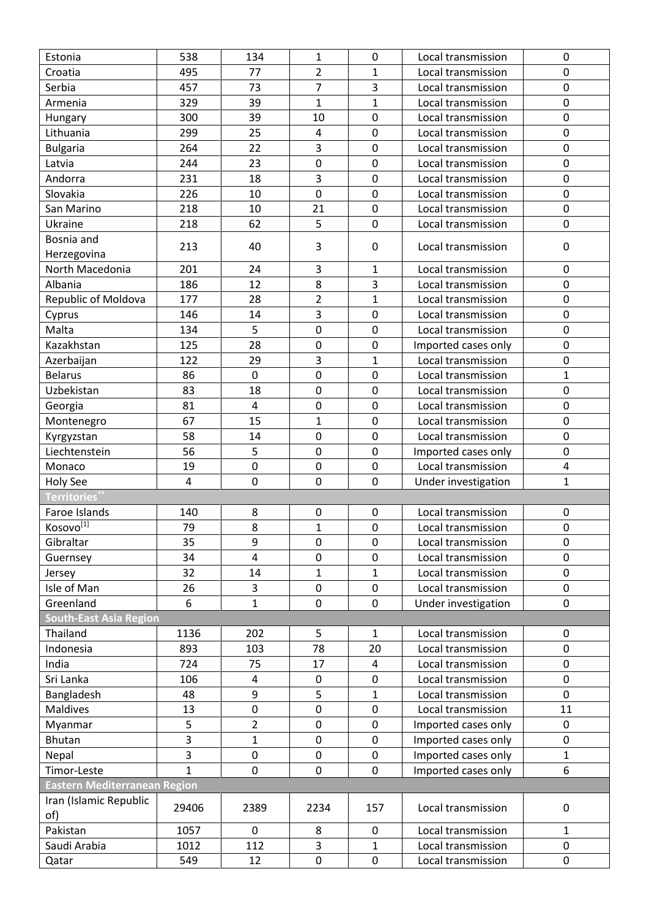| Estonia                             | 538          | 134                     | $\mathbf{1}$   | 0            | Local transmission  | 0            |
|-------------------------------------|--------------|-------------------------|----------------|--------------|---------------------|--------------|
| Croatia                             | 495          | 77                      | $\overline{2}$ | $\mathbf{1}$ | Local transmission  | 0            |
| Serbia                              | 457          | 73                      | $\overline{7}$ | 3            | Local transmission  | 0            |
| Armenia                             | 329          | 39                      | 1              | 1            | Local transmission  | 0            |
| Hungary                             | 300          | 39                      | 10             | $\pmb{0}$    | Local transmission  | 0            |
| Lithuania                           | 299          | 25                      | 4              | 0            | Local transmission  | 0            |
| <b>Bulgaria</b>                     | 264          | 22                      | 3              | 0            | Local transmission  | 0            |
| Latvia                              | 244          | 23                      | $\mathbf 0$    | 0            | Local transmission  | 0            |
| Andorra                             | 231          | 18                      | 3              | 0            | Local transmission  | 0            |
| Slovakia                            | 226          | 10                      | $\pmb{0}$      | 0            | Local transmission  | 0            |
| San Marino                          | 218          | 10                      | 21             | 0            | Local transmission  | 0            |
| Ukraine                             | 218          | 62                      | 5              | 0            | Local transmission  | 0            |
| Bosnia and                          |              |                         |                |              |                     |              |
| Herzegovina                         | 213          | 40                      | 3              | $\pmb{0}$    | Local transmission  | 0            |
| North Macedonia                     | 201          | 24                      | 3              | 1            | Local transmission  | 0            |
| Albania                             | 186          | 12                      | 8              | 3            | Local transmission  | 0            |
| Republic of Moldova                 | 177          | 28                      | $\overline{2}$ | $\mathbf{1}$ | Local transmission  | 0            |
| Cyprus                              | 146          | 14                      | 3              | 0            | Local transmission  | $\mathbf 0$  |
| Malta                               | 134          | 5                       | 0              | 0            | Local transmission  | 0            |
| Kazakhstan                          | 125          | 28                      | 0              | 0            | Imported cases only | 0            |
| Azerbaijan                          | 122          | 29                      | 3              | $\mathbf{1}$ | Local transmission  | 0            |
| <b>Belarus</b>                      | 86           | $\boldsymbol{0}$        | $\mathbf 0$    | 0            | Local transmission  | 1            |
| Uzbekistan                          | 83           | 18                      | $\pmb{0}$      | 0            | Local transmission  | 0            |
| Georgia                             | 81           | $\overline{\mathbf{4}}$ | $\mathbf 0$    | 0            | Local transmission  | 0            |
| Montenegro                          | 67           | 15                      | $\mathbf{1}$   | 0            | Local transmission  | 0            |
| Kyrgyzstan                          | 58           | 14                      | 0              | 0            | Local transmission  | 0            |
| Liechtenstein                       | 56           | 5                       | $\mathbf 0$    | 0            | Imported cases only | 0            |
| Monaco                              | 19           | $\mathbf 0$             | $\mathbf 0$    | 0            | Local transmission  | 4            |
| Holy See                            | 4            | $\mathbf 0$             | $\mathbf 0$    | 0            | Under investigation | 1            |
| <b>Territories</b>                  |              |                         |                |              |                     |              |
| Faroe Islands                       | 140          | 8                       | $\mathbf 0$    | $\pmb{0}$    | Local transmission  | $\mathbf 0$  |
| Kosovo <sup>[1]</sup>               | 79           | 8                       | $\mathbf{1}$   | $\pmb{0}$    | Local transmission  | $\pmb{0}$    |
| Gibraltar                           | 35           | 9                       | 0              | 0            | Local transmission  | 0            |
| Guernsey                            | 34           | 4                       | 0              | 0            | Local transmission  | 0            |
| Jersey                              | 32           | 14                      | $\mathbf{1}$   | $\mathbf 1$  | Local transmission  | 0            |
| Isle of Man                         | 26           | 3                       | $\pmb{0}$      | 0            | Local transmission  | 0            |
| Greenland                           | 6            | $\mathbf 1$             | $\mathbf 0$    | 0            | Under investigation | 0            |
| <b>South-East Asia Region</b>       |              |                         |                |              |                     |              |
| Thailand                            | 1136         | 202                     | 5              | 1            | Local transmission  | 0            |
| Indonesia                           | 893          | 103                     | 78             | 20           | Local transmission  | 0            |
| India                               | 724          | 75                      | 17             | 4            | Local transmission  | 0            |
| Sri Lanka                           | 106          | 4                       | $\mathbf 0$    | 0            | Local transmission  | 0            |
| Bangladesh                          | 48           | 9                       | 5              | 1            | Local transmission  | 0            |
| Maldives                            | 13           | $\boldsymbol{0}$        | $\pmb{0}$      | 0            | Local transmission  | 11           |
| Myanmar                             | 5            | $\overline{2}$          | $\pmb{0}$      | $\pmb{0}$    | Imported cases only | 0            |
| Bhutan                              | 3            | $\mathbf{1}$            | $\mathbf 0$    | 0            | Imported cases only | 0            |
| Nepal                               | 3            | $\boldsymbol{0}$        | 0              | 0            | Imported cases only | $\mathbf{1}$ |
| Timor-Leste                         | $\mathbf{1}$ | $\mathbf 0$             | $\overline{0}$ | 0            | Imported cases only | 6            |
| <b>Eastern Mediterranean Region</b> |              |                         |                |              |                     |              |
| Iran (Islamic Republic              |              |                         |                |              |                     |              |
| of)                                 | 29406        | 2389                    | 2234           | 157          | Local transmission  | 0            |
| Pakistan                            | 1057         | $\mathbf 0$             | 8              | 0            | Local transmission  | $\mathbf{1}$ |
| Saudi Arabia                        | 1012         | 112                     | 3              | $\mathbf{1}$ | Local transmission  | 0            |
| Qatar                               | 549          | 12                      | $\pmb{0}$      | $\pmb{0}$    | Local transmission  | 0            |
|                                     |              |                         |                |              |                     |              |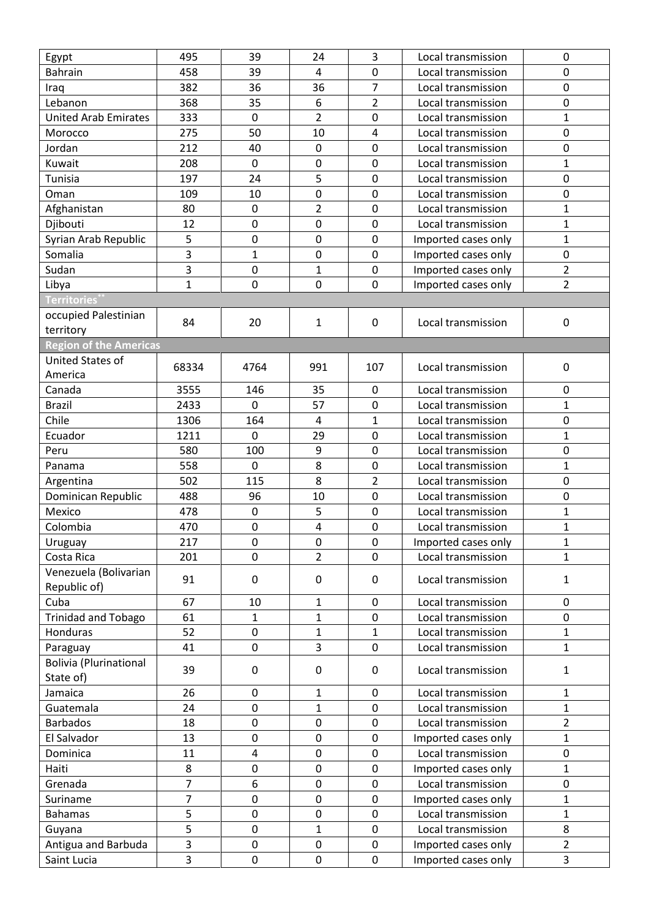| <b>Bahrain</b><br>458<br>4<br>Local transmission<br>0<br>39<br>0<br>$\overline{7}$<br>36<br>0<br>382<br>36<br>Local transmission<br>Iraq<br>Lebanon<br>$\overline{2}$<br>0<br>368<br>35<br>6<br>Local transmission<br>$\overline{2}$<br>$\mathbf{1}$<br>$\mathbf 0$<br>$\mathbf 0$<br><b>United Arab Emirates</b><br>333<br>Local transmission<br>0<br>275<br>50<br>10<br>4<br>Local transmission<br>Morocco<br>0<br>$\mathbf 0$<br>Jordan<br>212<br>40<br>0<br>Local transmission<br>208<br>$\pmb{0}$<br>$\mathbf{1}$<br>Kuwait<br>0<br>0<br>Local transmission<br>5<br>0<br>Tunisia<br>197<br>24<br>0<br>Local transmission<br>0<br>$\pmb{0}$<br>$\pmb{0}$<br>109<br>Oman<br>10<br>Local transmission<br>$\overline{2}$<br>80<br>$\mathbf{1}$<br>$\mathbf 0$<br>0<br>Afghanistan<br>Local transmission<br>12<br>$\mathbf 0$<br>$\mathbf{1}$<br>Djibouti<br>$\boldsymbol{0}$<br>0<br>Local transmission<br>5<br>$\mathbf{1}$<br>$\boldsymbol{0}$<br>$\pmb{0}$<br>$\mathbf 0$<br>Syrian Arab Republic<br>Imported cases only<br>3<br>0<br>Somalia<br>$\mathbf{1}$<br>0<br>0<br>Imported cases only<br>3<br>$\overline{2}$<br>Sudan<br>$\mathbf{1}$<br>Imported cases only<br>$\mathbf 0$<br>0<br>$\overline{2}$<br>1<br>$\boldsymbol{0}$<br>0<br>0<br>Imported cases only<br>Libya<br><b>Territories</b><br>occupied Palestinian<br>84<br>20<br>$\mathbf 0$<br>$\pmb{0}$<br>1<br>Local transmission<br>territory<br><b>Region of the Americas</b><br>United States of<br>68334<br>4764<br>991<br>107<br>0<br>Local transmission<br>America<br>0<br>Canada<br>3555<br>146<br>35<br>$\mathbf 0$<br>Local transmission<br>57<br>$\mathbf{1}$<br><b>Brazil</b><br>2433<br>$\mathbf 0$<br>0<br>Local transmission<br>Chile<br>1306<br>0<br>164<br>4<br>1<br>Local transmission<br>$\mathbf{1}$<br>$\mathbf 0$<br>Ecuador<br>1211<br>$\mathbf 0$<br>29<br>Local transmission<br>0<br>580<br>100<br>9<br>0<br>Peru<br>Local transmission<br>558<br>$\mathbf 0$<br>8<br>$\mathbf{1}$<br>0<br>Local transmission<br>Panama<br>$\mathbf 0$<br>8<br>502<br>115<br>2<br>Local transmission<br>Argentina<br>0<br>Dominican Republic<br>488<br>96<br>10<br>0<br>Local transmission<br>5<br>478<br>$\mathbf{1}$<br>Mexico<br>$\mathbf 0$<br>0<br>Local transmission<br>$\boldsymbol{0}$<br>$\mathbf 1$<br>Colombia<br>470<br>4<br>0<br>Local transmission<br>Uruguay<br>217<br>0<br>0<br>0<br>Imported cases only<br>1<br>$\overline{2}$<br>Costa Rica<br>$\mathbf 0$<br>0<br>1<br>201<br>Local transmission<br>Venezuela (Bolivarian<br>91<br>0<br>Local transmission<br>$\mathbf 0$<br>0<br>$\mathbf{1}$<br>Republic of)<br>67<br>Cuba<br>10<br>0<br>1<br>0<br>Local transmission<br><b>Trinidad and Tobago</b><br>61<br>0<br>1<br>1<br>0<br>Local transmission<br>52<br>$\pmb{0}$<br>Honduras<br>$\mathbf{1}$<br>$\mathbf{1}$<br>Local transmission<br>$\mathbf{1}$<br>3<br>$\mathbf{1}$<br>41<br>$\mathbf 0$<br>0<br>Local transmission<br>Paraguay<br><b>Bolivia (Plurinational</b><br>39<br>0<br>Local transmission<br>$\mathbf{1}$<br>0<br>0<br>State of)<br>26<br>$\mathbf 0$<br>1<br>$\mathbf{1}$<br>Jamaica<br>0<br>Local transmission<br>Guatemala<br>24<br>$\mathbf 0$<br>$\mathbf{1}$<br>0<br>Local transmission<br>$\mathbf{1}$<br>$\overline{2}$<br>18<br>0<br>0<br>0<br>Local transmission<br><b>Barbados</b><br>13<br>$\pmb{0}$<br>$\mathbf{1}$<br>El Salvador<br>0<br>0<br>Imported cases only<br>0<br>Local transmission<br>0<br>Dominica<br>11<br>$\sqrt{4}$<br>0<br>$\boldsymbol{0}$<br>$\mathbf 1$<br>Haiti<br>8<br>0<br>0<br>Imported cases only<br>7<br>Grenada<br>6<br>0<br>Local transmission<br>0<br>0<br>7<br>0<br>Imported cases only<br>$\mathbf{1}$<br>$\boldsymbol{0}$<br>0<br>Suriname<br>5<br>$\mathbf{1}$<br>$\pmb{0}$<br>0<br>0<br>Local transmission<br><b>Bahamas</b><br>5<br>8<br>0<br>Local transmission<br>Guyana<br>1<br>0<br>3<br>$\overline{2}$<br>Antigua and Barbuda<br>$\boldsymbol{0}$<br>0<br>Imported cases only<br>0<br>3<br>3<br>$\pmb{0}$<br>Saint Lucia<br>0<br>0<br>Imported cases only | Egypt | 495 | 39 | 24 | 3 | Local transmission | 0 |
|---------------------------------------------------------------------------------------------------------------------------------------------------------------------------------------------------------------------------------------------------------------------------------------------------------------------------------------------------------------------------------------------------------------------------------------------------------------------------------------------------------------------------------------------------------------------------------------------------------------------------------------------------------------------------------------------------------------------------------------------------------------------------------------------------------------------------------------------------------------------------------------------------------------------------------------------------------------------------------------------------------------------------------------------------------------------------------------------------------------------------------------------------------------------------------------------------------------------------------------------------------------------------------------------------------------------------------------------------------------------------------------------------------------------------------------------------------------------------------------------------------------------------------------------------------------------------------------------------------------------------------------------------------------------------------------------------------------------------------------------------------------------------------------------------------------------------------------------------------------------------------------------------------------------------------------------------------------------------------------------------------------------------------------------------------------------------------------------------------------------------------------------------------------------------------------------------------------------------------------------------------------------------------------------------------------------------------------------------------------------------------------------------------------------------------------------------------------------------------------------------------------------------------------------------------------------------------------------------------------------------------------------------------------------------------------------------------------------------------------------------------------------------------------------------------------------------------------------------------------------------------------------------------------------------------------------------------------------------------------------------------------------------------------------------------------------------------------------------------------------------------------------------------------------------------------------------------------------------------------------------------------------------------------------------------------------------------------------------------------------------------------------------------------------------------------------------------------------------------------------------------------------------------------------------------------------------------------------------------------------------------------------------------------------------------------------------------------------------------------------------------------------------------------------------------------------------------------------------------------------------------------------------------------------------------------------------------------------------------------------------------------------------------|-------|-----|----|----|---|--------------------|---|
|                                                                                                                                                                                                                                                                                                                                                                                                                                                                                                                                                                                                                                                                                                                                                                                                                                                                                                                                                                                                                                                                                                                                                                                                                                                                                                                                                                                                                                                                                                                                                                                                                                                                                                                                                                                                                                                                                                                                                                                                                                                                                                                                                                                                                                                                                                                                                                                                                                                                                                                                                                                                                                                                                                                                                                                                                                                                                                                                                                                                                                                                                                                                                                                                                                                                                                                                                                                                                                                                                                                                                                                                                                                                                                                                                                                                                                                                                                                                                                                                                                 |       |     |    |    |   |                    |   |
|                                                                                                                                                                                                                                                                                                                                                                                                                                                                                                                                                                                                                                                                                                                                                                                                                                                                                                                                                                                                                                                                                                                                                                                                                                                                                                                                                                                                                                                                                                                                                                                                                                                                                                                                                                                                                                                                                                                                                                                                                                                                                                                                                                                                                                                                                                                                                                                                                                                                                                                                                                                                                                                                                                                                                                                                                                                                                                                                                                                                                                                                                                                                                                                                                                                                                                                                                                                                                                                                                                                                                                                                                                                                                                                                                                                                                                                                                                                                                                                                                                 |       |     |    |    |   |                    |   |
|                                                                                                                                                                                                                                                                                                                                                                                                                                                                                                                                                                                                                                                                                                                                                                                                                                                                                                                                                                                                                                                                                                                                                                                                                                                                                                                                                                                                                                                                                                                                                                                                                                                                                                                                                                                                                                                                                                                                                                                                                                                                                                                                                                                                                                                                                                                                                                                                                                                                                                                                                                                                                                                                                                                                                                                                                                                                                                                                                                                                                                                                                                                                                                                                                                                                                                                                                                                                                                                                                                                                                                                                                                                                                                                                                                                                                                                                                                                                                                                                                                 |       |     |    |    |   |                    |   |
|                                                                                                                                                                                                                                                                                                                                                                                                                                                                                                                                                                                                                                                                                                                                                                                                                                                                                                                                                                                                                                                                                                                                                                                                                                                                                                                                                                                                                                                                                                                                                                                                                                                                                                                                                                                                                                                                                                                                                                                                                                                                                                                                                                                                                                                                                                                                                                                                                                                                                                                                                                                                                                                                                                                                                                                                                                                                                                                                                                                                                                                                                                                                                                                                                                                                                                                                                                                                                                                                                                                                                                                                                                                                                                                                                                                                                                                                                                                                                                                                                                 |       |     |    |    |   |                    |   |
|                                                                                                                                                                                                                                                                                                                                                                                                                                                                                                                                                                                                                                                                                                                                                                                                                                                                                                                                                                                                                                                                                                                                                                                                                                                                                                                                                                                                                                                                                                                                                                                                                                                                                                                                                                                                                                                                                                                                                                                                                                                                                                                                                                                                                                                                                                                                                                                                                                                                                                                                                                                                                                                                                                                                                                                                                                                                                                                                                                                                                                                                                                                                                                                                                                                                                                                                                                                                                                                                                                                                                                                                                                                                                                                                                                                                                                                                                                                                                                                                                                 |       |     |    |    |   |                    |   |
|                                                                                                                                                                                                                                                                                                                                                                                                                                                                                                                                                                                                                                                                                                                                                                                                                                                                                                                                                                                                                                                                                                                                                                                                                                                                                                                                                                                                                                                                                                                                                                                                                                                                                                                                                                                                                                                                                                                                                                                                                                                                                                                                                                                                                                                                                                                                                                                                                                                                                                                                                                                                                                                                                                                                                                                                                                                                                                                                                                                                                                                                                                                                                                                                                                                                                                                                                                                                                                                                                                                                                                                                                                                                                                                                                                                                                                                                                                                                                                                                                                 |       |     |    |    |   |                    |   |
|                                                                                                                                                                                                                                                                                                                                                                                                                                                                                                                                                                                                                                                                                                                                                                                                                                                                                                                                                                                                                                                                                                                                                                                                                                                                                                                                                                                                                                                                                                                                                                                                                                                                                                                                                                                                                                                                                                                                                                                                                                                                                                                                                                                                                                                                                                                                                                                                                                                                                                                                                                                                                                                                                                                                                                                                                                                                                                                                                                                                                                                                                                                                                                                                                                                                                                                                                                                                                                                                                                                                                                                                                                                                                                                                                                                                                                                                                                                                                                                                                                 |       |     |    |    |   |                    |   |
|                                                                                                                                                                                                                                                                                                                                                                                                                                                                                                                                                                                                                                                                                                                                                                                                                                                                                                                                                                                                                                                                                                                                                                                                                                                                                                                                                                                                                                                                                                                                                                                                                                                                                                                                                                                                                                                                                                                                                                                                                                                                                                                                                                                                                                                                                                                                                                                                                                                                                                                                                                                                                                                                                                                                                                                                                                                                                                                                                                                                                                                                                                                                                                                                                                                                                                                                                                                                                                                                                                                                                                                                                                                                                                                                                                                                                                                                                                                                                                                                                                 |       |     |    |    |   |                    |   |
|                                                                                                                                                                                                                                                                                                                                                                                                                                                                                                                                                                                                                                                                                                                                                                                                                                                                                                                                                                                                                                                                                                                                                                                                                                                                                                                                                                                                                                                                                                                                                                                                                                                                                                                                                                                                                                                                                                                                                                                                                                                                                                                                                                                                                                                                                                                                                                                                                                                                                                                                                                                                                                                                                                                                                                                                                                                                                                                                                                                                                                                                                                                                                                                                                                                                                                                                                                                                                                                                                                                                                                                                                                                                                                                                                                                                                                                                                                                                                                                                                                 |       |     |    |    |   |                    |   |
|                                                                                                                                                                                                                                                                                                                                                                                                                                                                                                                                                                                                                                                                                                                                                                                                                                                                                                                                                                                                                                                                                                                                                                                                                                                                                                                                                                                                                                                                                                                                                                                                                                                                                                                                                                                                                                                                                                                                                                                                                                                                                                                                                                                                                                                                                                                                                                                                                                                                                                                                                                                                                                                                                                                                                                                                                                                                                                                                                                                                                                                                                                                                                                                                                                                                                                                                                                                                                                                                                                                                                                                                                                                                                                                                                                                                                                                                                                                                                                                                                                 |       |     |    |    |   |                    |   |
|                                                                                                                                                                                                                                                                                                                                                                                                                                                                                                                                                                                                                                                                                                                                                                                                                                                                                                                                                                                                                                                                                                                                                                                                                                                                                                                                                                                                                                                                                                                                                                                                                                                                                                                                                                                                                                                                                                                                                                                                                                                                                                                                                                                                                                                                                                                                                                                                                                                                                                                                                                                                                                                                                                                                                                                                                                                                                                                                                                                                                                                                                                                                                                                                                                                                                                                                                                                                                                                                                                                                                                                                                                                                                                                                                                                                                                                                                                                                                                                                                                 |       |     |    |    |   |                    |   |
|                                                                                                                                                                                                                                                                                                                                                                                                                                                                                                                                                                                                                                                                                                                                                                                                                                                                                                                                                                                                                                                                                                                                                                                                                                                                                                                                                                                                                                                                                                                                                                                                                                                                                                                                                                                                                                                                                                                                                                                                                                                                                                                                                                                                                                                                                                                                                                                                                                                                                                                                                                                                                                                                                                                                                                                                                                                                                                                                                                                                                                                                                                                                                                                                                                                                                                                                                                                                                                                                                                                                                                                                                                                                                                                                                                                                                                                                                                                                                                                                                                 |       |     |    |    |   |                    |   |
|                                                                                                                                                                                                                                                                                                                                                                                                                                                                                                                                                                                                                                                                                                                                                                                                                                                                                                                                                                                                                                                                                                                                                                                                                                                                                                                                                                                                                                                                                                                                                                                                                                                                                                                                                                                                                                                                                                                                                                                                                                                                                                                                                                                                                                                                                                                                                                                                                                                                                                                                                                                                                                                                                                                                                                                                                                                                                                                                                                                                                                                                                                                                                                                                                                                                                                                                                                                                                                                                                                                                                                                                                                                                                                                                                                                                                                                                                                                                                                                                                                 |       |     |    |    |   |                    |   |
|                                                                                                                                                                                                                                                                                                                                                                                                                                                                                                                                                                                                                                                                                                                                                                                                                                                                                                                                                                                                                                                                                                                                                                                                                                                                                                                                                                                                                                                                                                                                                                                                                                                                                                                                                                                                                                                                                                                                                                                                                                                                                                                                                                                                                                                                                                                                                                                                                                                                                                                                                                                                                                                                                                                                                                                                                                                                                                                                                                                                                                                                                                                                                                                                                                                                                                                                                                                                                                                                                                                                                                                                                                                                                                                                                                                                                                                                                                                                                                                                                                 |       |     |    |    |   |                    |   |
|                                                                                                                                                                                                                                                                                                                                                                                                                                                                                                                                                                                                                                                                                                                                                                                                                                                                                                                                                                                                                                                                                                                                                                                                                                                                                                                                                                                                                                                                                                                                                                                                                                                                                                                                                                                                                                                                                                                                                                                                                                                                                                                                                                                                                                                                                                                                                                                                                                                                                                                                                                                                                                                                                                                                                                                                                                                                                                                                                                                                                                                                                                                                                                                                                                                                                                                                                                                                                                                                                                                                                                                                                                                                                                                                                                                                                                                                                                                                                                                                                                 |       |     |    |    |   |                    |   |
|                                                                                                                                                                                                                                                                                                                                                                                                                                                                                                                                                                                                                                                                                                                                                                                                                                                                                                                                                                                                                                                                                                                                                                                                                                                                                                                                                                                                                                                                                                                                                                                                                                                                                                                                                                                                                                                                                                                                                                                                                                                                                                                                                                                                                                                                                                                                                                                                                                                                                                                                                                                                                                                                                                                                                                                                                                                                                                                                                                                                                                                                                                                                                                                                                                                                                                                                                                                                                                                                                                                                                                                                                                                                                                                                                                                                                                                                                                                                                                                                                                 |       |     |    |    |   |                    |   |
|                                                                                                                                                                                                                                                                                                                                                                                                                                                                                                                                                                                                                                                                                                                                                                                                                                                                                                                                                                                                                                                                                                                                                                                                                                                                                                                                                                                                                                                                                                                                                                                                                                                                                                                                                                                                                                                                                                                                                                                                                                                                                                                                                                                                                                                                                                                                                                                                                                                                                                                                                                                                                                                                                                                                                                                                                                                                                                                                                                                                                                                                                                                                                                                                                                                                                                                                                                                                                                                                                                                                                                                                                                                                                                                                                                                                                                                                                                                                                                                                                                 |       |     |    |    |   |                    |   |
|                                                                                                                                                                                                                                                                                                                                                                                                                                                                                                                                                                                                                                                                                                                                                                                                                                                                                                                                                                                                                                                                                                                                                                                                                                                                                                                                                                                                                                                                                                                                                                                                                                                                                                                                                                                                                                                                                                                                                                                                                                                                                                                                                                                                                                                                                                                                                                                                                                                                                                                                                                                                                                                                                                                                                                                                                                                                                                                                                                                                                                                                                                                                                                                                                                                                                                                                                                                                                                                                                                                                                                                                                                                                                                                                                                                                                                                                                                                                                                                                                                 |       |     |    |    |   |                    |   |
|                                                                                                                                                                                                                                                                                                                                                                                                                                                                                                                                                                                                                                                                                                                                                                                                                                                                                                                                                                                                                                                                                                                                                                                                                                                                                                                                                                                                                                                                                                                                                                                                                                                                                                                                                                                                                                                                                                                                                                                                                                                                                                                                                                                                                                                                                                                                                                                                                                                                                                                                                                                                                                                                                                                                                                                                                                                                                                                                                                                                                                                                                                                                                                                                                                                                                                                                                                                                                                                                                                                                                                                                                                                                                                                                                                                                                                                                                                                                                                                                                                 |       |     |    |    |   |                    |   |
|                                                                                                                                                                                                                                                                                                                                                                                                                                                                                                                                                                                                                                                                                                                                                                                                                                                                                                                                                                                                                                                                                                                                                                                                                                                                                                                                                                                                                                                                                                                                                                                                                                                                                                                                                                                                                                                                                                                                                                                                                                                                                                                                                                                                                                                                                                                                                                                                                                                                                                                                                                                                                                                                                                                                                                                                                                                                                                                                                                                                                                                                                                                                                                                                                                                                                                                                                                                                                                                                                                                                                                                                                                                                                                                                                                                                                                                                                                                                                                                                                                 |       |     |    |    |   |                    |   |
|                                                                                                                                                                                                                                                                                                                                                                                                                                                                                                                                                                                                                                                                                                                                                                                                                                                                                                                                                                                                                                                                                                                                                                                                                                                                                                                                                                                                                                                                                                                                                                                                                                                                                                                                                                                                                                                                                                                                                                                                                                                                                                                                                                                                                                                                                                                                                                                                                                                                                                                                                                                                                                                                                                                                                                                                                                                                                                                                                                                                                                                                                                                                                                                                                                                                                                                                                                                                                                                                                                                                                                                                                                                                                                                                                                                                                                                                                                                                                                                                                                 |       |     |    |    |   |                    |   |
|                                                                                                                                                                                                                                                                                                                                                                                                                                                                                                                                                                                                                                                                                                                                                                                                                                                                                                                                                                                                                                                                                                                                                                                                                                                                                                                                                                                                                                                                                                                                                                                                                                                                                                                                                                                                                                                                                                                                                                                                                                                                                                                                                                                                                                                                                                                                                                                                                                                                                                                                                                                                                                                                                                                                                                                                                                                                                                                                                                                                                                                                                                                                                                                                                                                                                                                                                                                                                                                                                                                                                                                                                                                                                                                                                                                                                                                                                                                                                                                                                                 |       |     |    |    |   |                    |   |
|                                                                                                                                                                                                                                                                                                                                                                                                                                                                                                                                                                                                                                                                                                                                                                                                                                                                                                                                                                                                                                                                                                                                                                                                                                                                                                                                                                                                                                                                                                                                                                                                                                                                                                                                                                                                                                                                                                                                                                                                                                                                                                                                                                                                                                                                                                                                                                                                                                                                                                                                                                                                                                                                                                                                                                                                                                                                                                                                                                                                                                                                                                                                                                                                                                                                                                                                                                                                                                                                                                                                                                                                                                                                                                                                                                                                                                                                                                                                                                                                                                 |       |     |    |    |   |                    |   |
|                                                                                                                                                                                                                                                                                                                                                                                                                                                                                                                                                                                                                                                                                                                                                                                                                                                                                                                                                                                                                                                                                                                                                                                                                                                                                                                                                                                                                                                                                                                                                                                                                                                                                                                                                                                                                                                                                                                                                                                                                                                                                                                                                                                                                                                                                                                                                                                                                                                                                                                                                                                                                                                                                                                                                                                                                                                                                                                                                                                                                                                                                                                                                                                                                                                                                                                                                                                                                                                                                                                                                                                                                                                                                                                                                                                                                                                                                                                                                                                                                                 |       |     |    |    |   |                    |   |
|                                                                                                                                                                                                                                                                                                                                                                                                                                                                                                                                                                                                                                                                                                                                                                                                                                                                                                                                                                                                                                                                                                                                                                                                                                                                                                                                                                                                                                                                                                                                                                                                                                                                                                                                                                                                                                                                                                                                                                                                                                                                                                                                                                                                                                                                                                                                                                                                                                                                                                                                                                                                                                                                                                                                                                                                                                                                                                                                                                                                                                                                                                                                                                                                                                                                                                                                                                                                                                                                                                                                                                                                                                                                                                                                                                                                                                                                                                                                                                                                                                 |       |     |    |    |   |                    |   |
|                                                                                                                                                                                                                                                                                                                                                                                                                                                                                                                                                                                                                                                                                                                                                                                                                                                                                                                                                                                                                                                                                                                                                                                                                                                                                                                                                                                                                                                                                                                                                                                                                                                                                                                                                                                                                                                                                                                                                                                                                                                                                                                                                                                                                                                                                                                                                                                                                                                                                                                                                                                                                                                                                                                                                                                                                                                                                                                                                                                                                                                                                                                                                                                                                                                                                                                                                                                                                                                                                                                                                                                                                                                                                                                                                                                                                                                                                                                                                                                                                                 |       |     |    |    |   |                    |   |
|                                                                                                                                                                                                                                                                                                                                                                                                                                                                                                                                                                                                                                                                                                                                                                                                                                                                                                                                                                                                                                                                                                                                                                                                                                                                                                                                                                                                                                                                                                                                                                                                                                                                                                                                                                                                                                                                                                                                                                                                                                                                                                                                                                                                                                                                                                                                                                                                                                                                                                                                                                                                                                                                                                                                                                                                                                                                                                                                                                                                                                                                                                                                                                                                                                                                                                                                                                                                                                                                                                                                                                                                                                                                                                                                                                                                                                                                                                                                                                                                                                 |       |     |    |    |   |                    |   |
|                                                                                                                                                                                                                                                                                                                                                                                                                                                                                                                                                                                                                                                                                                                                                                                                                                                                                                                                                                                                                                                                                                                                                                                                                                                                                                                                                                                                                                                                                                                                                                                                                                                                                                                                                                                                                                                                                                                                                                                                                                                                                                                                                                                                                                                                                                                                                                                                                                                                                                                                                                                                                                                                                                                                                                                                                                                                                                                                                                                                                                                                                                                                                                                                                                                                                                                                                                                                                                                                                                                                                                                                                                                                                                                                                                                                                                                                                                                                                                                                                                 |       |     |    |    |   |                    |   |
|                                                                                                                                                                                                                                                                                                                                                                                                                                                                                                                                                                                                                                                                                                                                                                                                                                                                                                                                                                                                                                                                                                                                                                                                                                                                                                                                                                                                                                                                                                                                                                                                                                                                                                                                                                                                                                                                                                                                                                                                                                                                                                                                                                                                                                                                                                                                                                                                                                                                                                                                                                                                                                                                                                                                                                                                                                                                                                                                                                                                                                                                                                                                                                                                                                                                                                                                                                                                                                                                                                                                                                                                                                                                                                                                                                                                                                                                                                                                                                                                                                 |       |     |    |    |   |                    |   |
|                                                                                                                                                                                                                                                                                                                                                                                                                                                                                                                                                                                                                                                                                                                                                                                                                                                                                                                                                                                                                                                                                                                                                                                                                                                                                                                                                                                                                                                                                                                                                                                                                                                                                                                                                                                                                                                                                                                                                                                                                                                                                                                                                                                                                                                                                                                                                                                                                                                                                                                                                                                                                                                                                                                                                                                                                                                                                                                                                                                                                                                                                                                                                                                                                                                                                                                                                                                                                                                                                                                                                                                                                                                                                                                                                                                                                                                                                                                                                                                                                                 |       |     |    |    |   |                    |   |
|                                                                                                                                                                                                                                                                                                                                                                                                                                                                                                                                                                                                                                                                                                                                                                                                                                                                                                                                                                                                                                                                                                                                                                                                                                                                                                                                                                                                                                                                                                                                                                                                                                                                                                                                                                                                                                                                                                                                                                                                                                                                                                                                                                                                                                                                                                                                                                                                                                                                                                                                                                                                                                                                                                                                                                                                                                                                                                                                                                                                                                                                                                                                                                                                                                                                                                                                                                                                                                                                                                                                                                                                                                                                                                                                                                                                                                                                                                                                                                                                                                 |       |     |    |    |   |                    |   |
|                                                                                                                                                                                                                                                                                                                                                                                                                                                                                                                                                                                                                                                                                                                                                                                                                                                                                                                                                                                                                                                                                                                                                                                                                                                                                                                                                                                                                                                                                                                                                                                                                                                                                                                                                                                                                                                                                                                                                                                                                                                                                                                                                                                                                                                                                                                                                                                                                                                                                                                                                                                                                                                                                                                                                                                                                                                                                                                                                                                                                                                                                                                                                                                                                                                                                                                                                                                                                                                                                                                                                                                                                                                                                                                                                                                                                                                                                                                                                                                                                                 |       |     |    |    |   |                    |   |
|                                                                                                                                                                                                                                                                                                                                                                                                                                                                                                                                                                                                                                                                                                                                                                                                                                                                                                                                                                                                                                                                                                                                                                                                                                                                                                                                                                                                                                                                                                                                                                                                                                                                                                                                                                                                                                                                                                                                                                                                                                                                                                                                                                                                                                                                                                                                                                                                                                                                                                                                                                                                                                                                                                                                                                                                                                                                                                                                                                                                                                                                                                                                                                                                                                                                                                                                                                                                                                                                                                                                                                                                                                                                                                                                                                                                                                                                                                                                                                                                                                 |       |     |    |    |   |                    |   |
|                                                                                                                                                                                                                                                                                                                                                                                                                                                                                                                                                                                                                                                                                                                                                                                                                                                                                                                                                                                                                                                                                                                                                                                                                                                                                                                                                                                                                                                                                                                                                                                                                                                                                                                                                                                                                                                                                                                                                                                                                                                                                                                                                                                                                                                                                                                                                                                                                                                                                                                                                                                                                                                                                                                                                                                                                                                                                                                                                                                                                                                                                                                                                                                                                                                                                                                                                                                                                                                                                                                                                                                                                                                                                                                                                                                                                                                                                                                                                                                                                                 |       |     |    |    |   |                    |   |
|                                                                                                                                                                                                                                                                                                                                                                                                                                                                                                                                                                                                                                                                                                                                                                                                                                                                                                                                                                                                                                                                                                                                                                                                                                                                                                                                                                                                                                                                                                                                                                                                                                                                                                                                                                                                                                                                                                                                                                                                                                                                                                                                                                                                                                                                                                                                                                                                                                                                                                                                                                                                                                                                                                                                                                                                                                                                                                                                                                                                                                                                                                                                                                                                                                                                                                                                                                                                                                                                                                                                                                                                                                                                                                                                                                                                                                                                                                                                                                                                                                 |       |     |    |    |   |                    |   |
|                                                                                                                                                                                                                                                                                                                                                                                                                                                                                                                                                                                                                                                                                                                                                                                                                                                                                                                                                                                                                                                                                                                                                                                                                                                                                                                                                                                                                                                                                                                                                                                                                                                                                                                                                                                                                                                                                                                                                                                                                                                                                                                                                                                                                                                                                                                                                                                                                                                                                                                                                                                                                                                                                                                                                                                                                                                                                                                                                                                                                                                                                                                                                                                                                                                                                                                                                                                                                                                                                                                                                                                                                                                                                                                                                                                                                                                                                                                                                                                                                                 |       |     |    |    |   |                    |   |
|                                                                                                                                                                                                                                                                                                                                                                                                                                                                                                                                                                                                                                                                                                                                                                                                                                                                                                                                                                                                                                                                                                                                                                                                                                                                                                                                                                                                                                                                                                                                                                                                                                                                                                                                                                                                                                                                                                                                                                                                                                                                                                                                                                                                                                                                                                                                                                                                                                                                                                                                                                                                                                                                                                                                                                                                                                                                                                                                                                                                                                                                                                                                                                                                                                                                                                                                                                                                                                                                                                                                                                                                                                                                                                                                                                                                                                                                                                                                                                                                                                 |       |     |    |    |   |                    |   |
|                                                                                                                                                                                                                                                                                                                                                                                                                                                                                                                                                                                                                                                                                                                                                                                                                                                                                                                                                                                                                                                                                                                                                                                                                                                                                                                                                                                                                                                                                                                                                                                                                                                                                                                                                                                                                                                                                                                                                                                                                                                                                                                                                                                                                                                                                                                                                                                                                                                                                                                                                                                                                                                                                                                                                                                                                                                                                                                                                                                                                                                                                                                                                                                                                                                                                                                                                                                                                                                                                                                                                                                                                                                                                                                                                                                                                                                                                                                                                                                                                                 |       |     |    |    |   |                    |   |
|                                                                                                                                                                                                                                                                                                                                                                                                                                                                                                                                                                                                                                                                                                                                                                                                                                                                                                                                                                                                                                                                                                                                                                                                                                                                                                                                                                                                                                                                                                                                                                                                                                                                                                                                                                                                                                                                                                                                                                                                                                                                                                                                                                                                                                                                                                                                                                                                                                                                                                                                                                                                                                                                                                                                                                                                                                                                                                                                                                                                                                                                                                                                                                                                                                                                                                                                                                                                                                                                                                                                                                                                                                                                                                                                                                                                                                                                                                                                                                                                                                 |       |     |    |    |   |                    |   |
|                                                                                                                                                                                                                                                                                                                                                                                                                                                                                                                                                                                                                                                                                                                                                                                                                                                                                                                                                                                                                                                                                                                                                                                                                                                                                                                                                                                                                                                                                                                                                                                                                                                                                                                                                                                                                                                                                                                                                                                                                                                                                                                                                                                                                                                                                                                                                                                                                                                                                                                                                                                                                                                                                                                                                                                                                                                                                                                                                                                                                                                                                                                                                                                                                                                                                                                                                                                                                                                                                                                                                                                                                                                                                                                                                                                                                                                                                                                                                                                                                                 |       |     |    |    |   |                    |   |
|                                                                                                                                                                                                                                                                                                                                                                                                                                                                                                                                                                                                                                                                                                                                                                                                                                                                                                                                                                                                                                                                                                                                                                                                                                                                                                                                                                                                                                                                                                                                                                                                                                                                                                                                                                                                                                                                                                                                                                                                                                                                                                                                                                                                                                                                                                                                                                                                                                                                                                                                                                                                                                                                                                                                                                                                                                                                                                                                                                                                                                                                                                                                                                                                                                                                                                                                                                                                                                                                                                                                                                                                                                                                                                                                                                                                                                                                                                                                                                                                                                 |       |     |    |    |   |                    |   |
|                                                                                                                                                                                                                                                                                                                                                                                                                                                                                                                                                                                                                                                                                                                                                                                                                                                                                                                                                                                                                                                                                                                                                                                                                                                                                                                                                                                                                                                                                                                                                                                                                                                                                                                                                                                                                                                                                                                                                                                                                                                                                                                                                                                                                                                                                                                                                                                                                                                                                                                                                                                                                                                                                                                                                                                                                                                                                                                                                                                                                                                                                                                                                                                                                                                                                                                                                                                                                                                                                                                                                                                                                                                                                                                                                                                                                                                                                                                                                                                                                                 |       |     |    |    |   |                    |   |
|                                                                                                                                                                                                                                                                                                                                                                                                                                                                                                                                                                                                                                                                                                                                                                                                                                                                                                                                                                                                                                                                                                                                                                                                                                                                                                                                                                                                                                                                                                                                                                                                                                                                                                                                                                                                                                                                                                                                                                                                                                                                                                                                                                                                                                                                                                                                                                                                                                                                                                                                                                                                                                                                                                                                                                                                                                                                                                                                                                                                                                                                                                                                                                                                                                                                                                                                                                                                                                                                                                                                                                                                                                                                                                                                                                                                                                                                                                                                                                                                                                 |       |     |    |    |   |                    |   |
|                                                                                                                                                                                                                                                                                                                                                                                                                                                                                                                                                                                                                                                                                                                                                                                                                                                                                                                                                                                                                                                                                                                                                                                                                                                                                                                                                                                                                                                                                                                                                                                                                                                                                                                                                                                                                                                                                                                                                                                                                                                                                                                                                                                                                                                                                                                                                                                                                                                                                                                                                                                                                                                                                                                                                                                                                                                                                                                                                                                                                                                                                                                                                                                                                                                                                                                                                                                                                                                                                                                                                                                                                                                                                                                                                                                                                                                                                                                                                                                                                                 |       |     |    |    |   |                    |   |
|                                                                                                                                                                                                                                                                                                                                                                                                                                                                                                                                                                                                                                                                                                                                                                                                                                                                                                                                                                                                                                                                                                                                                                                                                                                                                                                                                                                                                                                                                                                                                                                                                                                                                                                                                                                                                                                                                                                                                                                                                                                                                                                                                                                                                                                                                                                                                                                                                                                                                                                                                                                                                                                                                                                                                                                                                                                                                                                                                                                                                                                                                                                                                                                                                                                                                                                                                                                                                                                                                                                                                                                                                                                                                                                                                                                                                                                                                                                                                                                                                                 |       |     |    |    |   |                    |   |
|                                                                                                                                                                                                                                                                                                                                                                                                                                                                                                                                                                                                                                                                                                                                                                                                                                                                                                                                                                                                                                                                                                                                                                                                                                                                                                                                                                                                                                                                                                                                                                                                                                                                                                                                                                                                                                                                                                                                                                                                                                                                                                                                                                                                                                                                                                                                                                                                                                                                                                                                                                                                                                                                                                                                                                                                                                                                                                                                                                                                                                                                                                                                                                                                                                                                                                                                                                                                                                                                                                                                                                                                                                                                                                                                                                                                                                                                                                                                                                                                                                 |       |     |    |    |   |                    |   |
|                                                                                                                                                                                                                                                                                                                                                                                                                                                                                                                                                                                                                                                                                                                                                                                                                                                                                                                                                                                                                                                                                                                                                                                                                                                                                                                                                                                                                                                                                                                                                                                                                                                                                                                                                                                                                                                                                                                                                                                                                                                                                                                                                                                                                                                                                                                                                                                                                                                                                                                                                                                                                                                                                                                                                                                                                                                                                                                                                                                                                                                                                                                                                                                                                                                                                                                                                                                                                                                                                                                                                                                                                                                                                                                                                                                                                                                                                                                                                                                                                                 |       |     |    |    |   |                    |   |
|                                                                                                                                                                                                                                                                                                                                                                                                                                                                                                                                                                                                                                                                                                                                                                                                                                                                                                                                                                                                                                                                                                                                                                                                                                                                                                                                                                                                                                                                                                                                                                                                                                                                                                                                                                                                                                                                                                                                                                                                                                                                                                                                                                                                                                                                                                                                                                                                                                                                                                                                                                                                                                                                                                                                                                                                                                                                                                                                                                                                                                                                                                                                                                                                                                                                                                                                                                                                                                                                                                                                                                                                                                                                                                                                                                                                                                                                                                                                                                                                                                 |       |     |    |    |   |                    |   |
|                                                                                                                                                                                                                                                                                                                                                                                                                                                                                                                                                                                                                                                                                                                                                                                                                                                                                                                                                                                                                                                                                                                                                                                                                                                                                                                                                                                                                                                                                                                                                                                                                                                                                                                                                                                                                                                                                                                                                                                                                                                                                                                                                                                                                                                                                                                                                                                                                                                                                                                                                                                                                                                                                                                                                                                                                                                                                                                                                                                                                                                                                                                                                                                                                                                                                                                                                                                                                                                                                                                                                                                                                                                                                                                                                                                                                                                                                                                                                                                                                                 |       |     |    |    |   |                    |   |
|                                                                                                                                                                                                                                                                                                                                                                                                                                                                                                                                                                                                                                                                                                                                                                                                                                                                                                                                                                                                                                                                                                                                                                                                                                                                                                                                                                                                                                                                                                                                                                                                                                                                                                                                                                                                                                                                                                                                                                                                                                                                                                                                                                                                                                                                                                                                                                                                                                                                                                                                                                                                                                                                                                                                                                                                                                                                                                                                                                                                                                                                                                                                                                                                                                                                                                                                                                                                                                                                                                                                                                                                                                                                                                                                                                                                                                                                                                                                                                                                                                 |       |     |    |    |   |                    |   |
|                                                                                                                                                                                                                                                                                                                                                                                                                                                                                                                                                                                                                                                                                                                                                                                                                                                                                                                                                                                                                                                                                                                                                                                                                                                                                                                                                                                                                                                                                                                                                                                                                                                                                                                                                                                                                                                                                                                                                                                                                                                                                                                                                                                                                                                                                                                                                                                                                                                                                                                                                                                                                                                                                                                                                                                                                                                                                                                                                                                                                                                                                                                                                                                                                                                                                                                                                                                                                                                                                                                                                                                                                                                                                                                                                                                                                                                                                                                                                                                                                                 |       |     |    |    |   |                    |   |
|                                                                                                                                                                                                                                                                                                                                                                                                                                                                                                                                                                                                                                                                                                                                                                                                                                                                                                                                                                                                                                                                                                                                                                                                                                                                                                                                                                                                                                                                                                                                                                                                                                                                                                                                                                                                                                                                                                                                                                                                                                                                                                                                                                                                                                                                                                                                                                                                                                                                                                                                                                                                                                                                                                                                                                                                                                                                                                                                                                                                                                                                                                                                                                                                                                                                                                                                                                                                                                                                                                                                                                                                                                                                                                                                                                                                                                                                                                                                                                                                                                 |       |     |    |    |   |                    |   |
|                                                                                                                                                                                                                                                                                                                                                                                                                                                                                                                                                                                                                                                                                                                                                                                                                                                                                                                                                                                                                                                                                                                                                                                                                                                                                                                                                                                                                                                                                                                                                                                                                                                                                                                                                                                                                                                                                                                                                                                                                                                                                                                                                                                                                                                                                                                                                                                                                                                                                                                                                                                                                                                                                                                                                                                                                                                                                                                                                                                                                                                                                                                                                                                                                                                                                                                                                                                                                                                                                                                                                                                                                                                                                                                                                                                                                                                                                                                                                                                                                                 |       |     |    |    |   |                    |   |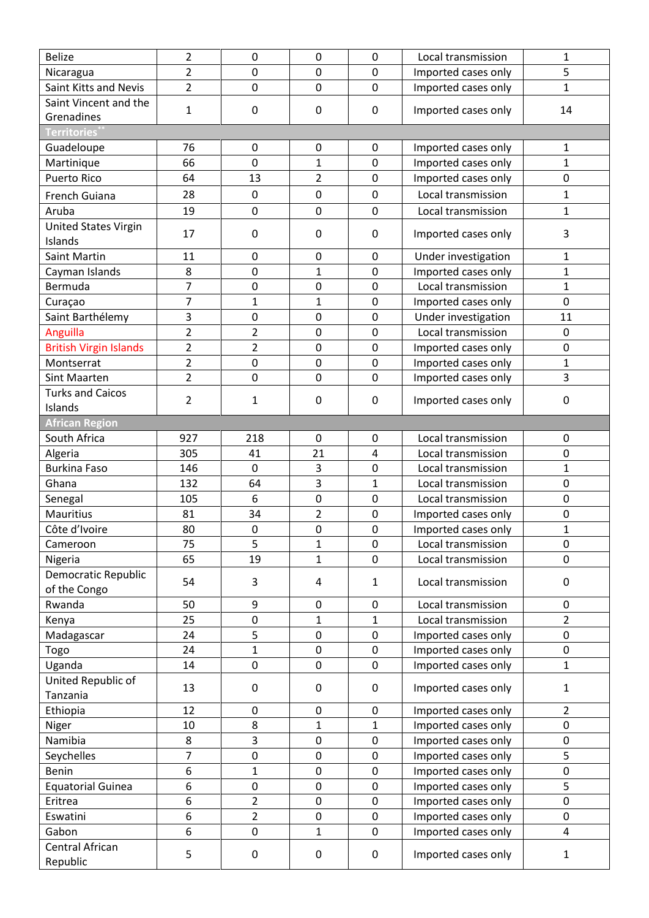| <b>Belize</b>                 | $\overline{2}$ | 0              | $\mathbf 0$    | 0              | Local transmission  | 1              |
|-------------------------------|----------------|----------------|----------------|----------------|---------------------|----------------|
| Nicaragua                     | $\overline{2}$ | $\mathbf 0$    | 0              | $\mathbf 0$    | Imported cases only | 5              |
| Saint Kitts and Nevis         | $\overline{2}$ | $\pmb{0}$      | 0              | $\mathbf 0$    | Imported cases only | $\mathbf 1$    |
| Saint Vincent and the         |                |                |                |                |                     |                |
| Grenadines                    | 1              | $\pmb{0}$      | $\pmb{0}$      | $\pmb{0}$      | Imported cases only | 14             |
| Territ <u>ories</u>           |                |                |                |                |                     |                |
| Guadeloupe                    | 76             | $\mathbf 0$    | 0              | 0              | Imported cases only | 1              |
| Martinique                    | 66             | $\mathbf 0$    | 1              | 0              | Imported cases only | $\mathbf 1$    |
| <b>Puerto Rico</b>            | 64             | 13             | $\overline{2}$ | $\mathbf 0$    | Imported cases only | 0              |
| French Guiana                 | 28             | $\mathbf 0$    | 0              | $\mathbf 0$    | Local transmission  | $\mathbf{1}$   |
| Aruba                         | 19             | $\mathbf 0$    | $\mathbf 0$    | $\mathbf 0$    | Local transmission  | $\mathbf 1$    |
| <b>United States Virgin</b>   |                |                |                |                |                     |                |
| Islands                       | 17             | $\pmb{0}$      | 0              | 0              | Imported cases only | 3              |
| <b>Saint Martin</b>           | 11             | $\mathbf 0$    | 0              | $\mathbf 0$    | Under investigation | $\mathbf 1$    |
| Cayman Islands                | 8              | $\pmb{0}$      | $\mathbf{1}$   | $\mathbf 0$    | Imported cases only | $\mathbf{1}$   |
| Bermuda                       | $\overline{7}$ | $\mathbf 0$    | 0              | $\mathbf 0$    | Local transmission  | 1              |
| Curaçao                       | $\overline{7}$ | 1              | $\mathbf{1}$   | $\mathbf 0$    | Imported cases only | $\mathbf 0$    |
| Saint Barthélemy              | 3              | $\pmb{0}$      | 0              | $\mathbf 0$    | Under investigation | 11             |
| Anguilla                      | $\overline{2}$ | $\overline{2}$ | 0              | $\mathbf 0$    | Local transmission  | $\mathbf 0$    |
| <b>British Virgin Islands</b> | $\overline{2}$ | $\overline{2}$ | 0              | $\mathbf 0$    | Imported cases only | $\mathbf 0$    |
| Montserrat                    | $\overline{2}$ | $\pmb{0}$      | 0              | $\mathbf 0$    | Imported cases only | $\mathbf{1}$   |
| Sint Maarten                  | $\overline{2}$ | $\mathbf 0$    | 0              | $\mathbf 0$    | Imported cases only | $\overline{3}$ |
| <b>Turks and Caicos</b>       |                |                |                |                |                     |                |
| Islands                       | $\overline{2}$ | $\mathbf{1}$   | 0              | $\mathbf 0$    | Imported cases only | $\mathbf 0$    |
| <b>African Region</b>         |                |                |                |                |                     |                |
| South Africa                  | 927            | 218            | $\mathbf 0$    | 0              | Local transmission  | $\mathbf 0$    |
| Algeria                       | 305            | 41             | 21             | $\overline{4}$ | Local transmission  | $\mathbf 0$    |
| <b>Burkina Faso</b>           | 146            | $\mathbf 0$    | 3              | 0              | Local transmission  | 1              |
| Ghana                         | 132            | 64             | $\overline{3}$ | $\mathbf{1}$   | Local transmission  | $\mathbf 0$    |
| Senegal                       | 105            | 6              | 0              | $\mathbf 0$    | Local transmission  | $\mathbf 0$    |
| <b>Mauritius</b>              | 81             | 34             | $\overline{2}$ | 0              | Imported cases only | $\mathbf 0$    |
| Côte d'Ivoire                 | 80             | $\mathbf 0$    | 0              | $\mathbf 0$    | Imported cases only | $\mathbf{1}$   |
| Cameroon                      | 75             | 5              | 1              | $\pmb{0}$      | Local transmission  | $\pmb{0}$      |
| Nigeria                       | 65             | 19             | $\mathbf 1$    | $\mathbf 0$    | Local transmission  | $\Omega$       |
| Democratic Republic           | 54             | 3              | 4              | $\mathbf{1}$   | Local transmission  | 0              |
| of the Congo                  |                |                |                |                |                     |                |
| Rwanda                        | 50             | 9              | 0              | $\mathbf 0$    | Local transmission  | $\mathbf 0$    |
| Kenya                         | 25             | $\pmb{0}$      | $\mathbf 1$    | 1              | Local transmission  | $\overline{2}$ |
| Madagascar                    | 24             | 5              | 0              | $\mathbf 0$    | Imported cases only | $\mathbf 0$    |
| Togo                          | 24             | $\mathbf 1$    | 0              | $\pmb{0}$      | Imported cases only | $\mathbf 0$    |
| Uganda                        | 14             | $\pmb{0}$      | 0              | $\mathbf 0$    | Imported cases only | $\mathbf{1}$   |
| United Republic of            | 13             | $\pmb{0}$      | 0              | 0              | Imported cases only | $\mathbf{1}$   |
| Tanzania                      |                |                |                |                |                     |                |
| Ethiopia                      | 12             | $\mathbf 0$    | 0              | 0              | Imported cases only | $\overline{2}$ |
| Niger                         | 10             | 8              | $\mathbf{1}$   | 1              | Imported cases only | $\mathbf 0$    |
| Namibia                       | 8              | 3              | 0              | $\mathbf 0$    | Imported cases only | $\mathbf 0$    |
| Seychelles                    | 7              | $\pmb{0}$      | 0              | 0              | Imported cases only | 5              |
| Benin                         | 6              | 1              | 0              | $\mathbf 0$    | Imported cases only | $\mathbf 0$    |
| <b>Equatorial Guinea</b>      | 6              | $\pmb{0}$      | 0              | $\pmb{0}$      | Imported cases only | 5              |
| Eritrea                       | 6              | $\overline{2}$ | 0              | $\mathbf 0$    | Imported cases only | $\mathbf 0$    |
| Eswatini                      | 6              | 2              | 0              | $\pmb{0}$      | Imported cases only | $\mathbf 0$    |
| Gabon                         | 6              | $\mathbf 0$    | $\mathbf{1}$   | $\mathbf 0$    | Imported cases only | $\overline{4}$ |
| Central African<br>Republic   | 5              | $\pmb{0}$      | 0              | 0              | Imported cases only | 1              |
|                               |                |                |                |                |                     |                |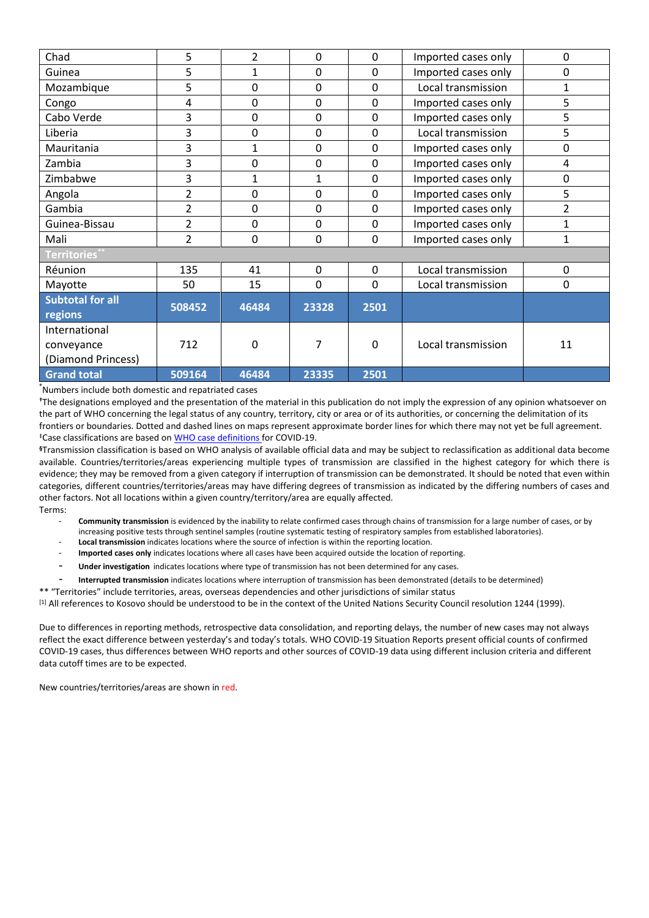| Chad                    | 5                        | $\overline{2}$ | 0            | 0        | Imported cases only | 0              |
|-------------------------|--------------------------|----------------|--------------|----------|---------------------|----------------|
| Guinea                  | 5                        | 1              | 0            | 0        | Imported cases only | 0              |
| Mozambique              | 5                        | $\mathbf 0$    | 0            | 0        | Local transmission  | 1              |
| Congo                   | 4                        | $\mathbf 0$    | 0            | 0        | Imported cases only | 5              |
| Cabo Verde              | 3                        | $\mathbf 0$    | 0            | 0        | Imported cases only | 5              |
| Liberia                 | 3                        | $\mathbf 0$    | 0            | 0        | Local transmission  | 5              |
| Mauritania              | 3                        | 1              | 0            | 0        | Imported cases only | 0              |
| Zambia                  | 3                        | $\mathbf 0$    | 0            | 0        | Imported cases only | 4              |
| Zimbabwe                | 3                        | $\mathbf{1}$   | $\mathbf{1}$ | 0        | Imported cases only | 0              |
| Angola                  | $\overline{2}$           | $\mathbf 0$    | $\Omega$     | $\Omega$ | Imported cases only | 5              |
| Gambia                  | 2                        | $\mathbf 0$    | 0            | 0        | Imported cases only | $\overline{2}$ |
| Guinea-Bissau           | $\overline{\mathcal{L}}$ | $\mathbf 0$    | 0            | 0        | Imported cases only | 1              |
| Mali                    | 2                        | $\mathbf 0$    | 0            | 0        | Imported cases only | 1              |
| Territories*            |                          |                |              |          |                     |                |
| Réunion                 | 135                      | 41             | $\Omega$     | 0        | Local transmission  | $\mathbf 0$    |
| Mayotte                 | 50                       | 15             | 0            | 0        | Local transmission  | 0              |
| <b>Subtotal for all</b> | 508452                   | 46484          | 23328        | 2501     |                     |                |
| regions                 |                          |                |              |          |                     |                |
| International           |                          |                |              |          |                     |                |
| conveyance              | 712                      | 0              | 7            | 0        | Local transmission  | 11             |
| (Diamond Princess)      |                          |                |              |          |                     |                |
| <b>Grand total</b>      | 509164                   | 46484          | 23335        | 2501     |                     |                |

\*Numbers include both domestic and repatriated cases

**†**The designations employed and the presentation of the material in this publication do not imply the expression of any opinion whatsoever on the part of WHO concerning the legal status of any country, territory, city or area or of its authorities, or concerning the delimitation of its frontiers or boundaries. Dotted and dashed lines on maps represent approximate border lines for which there may not yet be full agreement. ‡Case classifications are based o[n WHO case definitions](https://www.who.int/publications-detail/global-surveillance-for-human-infection-with-novel-coronavirus-(2019-ncov)) for COVID-19.

**§**Transmission classification is based on WHO analysis of available official data and may be subject to reclassification as additional data become available. Countries/territories/areas experiencing multiple types of transmission are classified in the highest category for which there is evidence; they may be removed from a given category if interruption of transmission can be demonstrated. It should be noted that even within categories, different countries/territories/areas may have differing degrees of transmission as indicated by the differing numbers of cases and other factors. Not all locations within a given country/territory/area are equally affected. Terms:

- **Community transmission** is evidenced by the inability to relate confirmed cases through chains of transmission for a large number of cases, or by increasing positive tests through sentinel samples (routine systematic testing of respiratory samples from established laboratories).
- Local transmission indicates locations where the source of infection is within the reporting location.
- Imported cases only indicates locations where all cases have been acquired outside the location of reporting.
- **Under investigation** indicates locations where type of transmission has not been determined for any cases.
- **Interrupted transmission** indicates locations where interruption of transmission has been demonstrated (details to be determined)

\*\* "Territories" include territories, areas, overseas dependencies and other jurisdictions of similar status

[1] All references to Kosovo should be understood to be in the context of the United Nations Security Council resolution 1244 (1999).

Due to differences in reporting methods, retrospective data consolidation, and reporting delays, the number of new cases may not always reflect the exact difference between yesterday's and today's totals. WHO COVID-19 Situation Reports present official counts of confirmed COVID-19 cases, thus differences between WHO reports and other sources of COVID-19 data using different inclusion criteria and different data cutoff times are to be expected.

New countries/territories/areas are shown in red.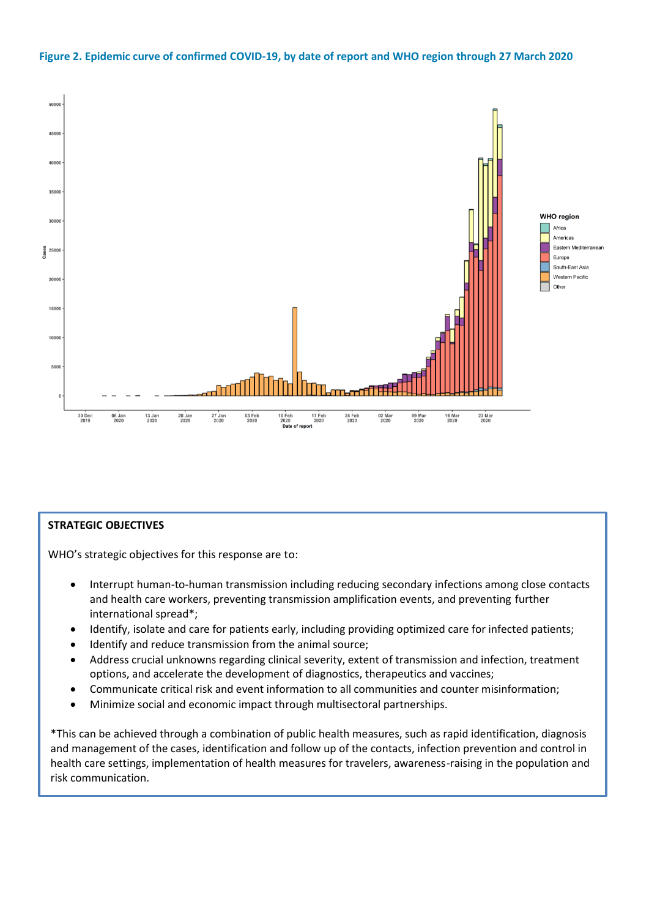#### **Figure 2. Epidemic curve of confirmed COVID-19, by date of report and WHO region through 27 March 2020**



#### **STRATEGIC OBJECTIVES**

WHO's strategic objectives for this response are to:

- Interrupt human-to-human transmission including reducing secondary infections among close contacts and health care workers, preventing transmission amplification events, and preventing further international spread\*;
- Identify, isolate and care for patients early, including providing optimized care for infected patients;
- Identify and reduce transmission from the animal source;
- Address crucial unknowns regarding clinical severity, extent of transmission and infection, treatment options, and accelerate the development of diagnostics, therapeutics and vaccines;
- Communicate critical risk and event information to all communities and counter misinformation;
- Minimize social and economic impact through multisectoral partnerships.

\*This can be achieved through a combination of public health measures, such as rapid identification, diagnosis and management of the cases, identification and follow up of the contacts, infection prevention and control in health care settings, implementation of health measures for travelers, awareness-raising in the population and risk communication.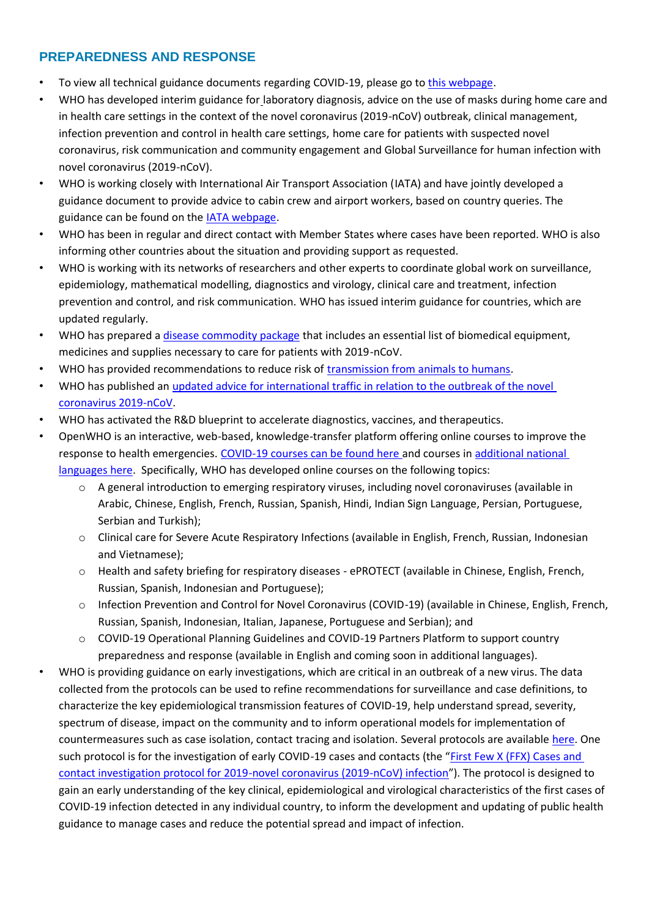# **PREPAREDNESS AND RESPONSE**

- To view all technical guidance documents regarding COVID-19, please go to [this webpage.](https://www.who.int/emergencies/diseases/novel-coronavirus-2019/technical-guidance)
- WHO has developed interim guidance for laboratory diagnosis, advice on the use of masks during home care and in health care settings in the context of the novel coronavirus (2019-nCoV) outbreak, clinical management, infection prevention and control in health care settings, home care for patients with suspected novel coronavirus, risk communication and community engagement and Global Surveillance for human infection with novel coronavirus (2019-nCoV).
- WHO is working closely with International Air Transport Association (IATA) and have jointly developed a guidance document to provide advice to cabin crew and airport workers, based on country queries. The guidance can be found on the **IATA webpage**.
- WHO has been in regular and direct contact with Member States where cases have been reported. WHO is also informing other countries about the situation and providing support as requested.
- WHO is working with its networks of researchers and other experts to coordinate global work on surveillance, epidemiology, mathematical modelling, diagnostics and virology, clinical care and treatment, infection prevention and control, and risk communication. WHO has issued interim guidance for countries, which are updated regularly.
- WHO has prepared a *[disease commodity package](https://www.who.int/publications-detail/disease-commodity-package---novel-coronavirus-(ncov)) that includes an essential list of biomedical equipment,* medicines and supplies necessary to care for patients with 2019-nCoV.
- WHO has provided recommendations to reduce risk of [transmission from animals to humans.](https://www.who.int/health-topics/coronavirus/who-recommendations-to-reduce-risk-of-transmission-of-emerging-pathogens-from-animals-to-humans-in-live-animal-markets)
- WHO has published an [updated advice for international traffic in relation to the outbreak of the novel](https://www.who.int/ith/2019-nCoV_advice_for_international_traffic-rev/en/)  [coronavirus 2019-nCoV.](https://www.who.int/ith/2019-nCoV_advice_for_international_traffic-rev/en/)
- WHO has activated the R&D blueprint to accelerate diagnostics, vaccines, and therapeutics.
- OpenWHO is an interactive, web-based, knowledge-transfer platform offering online courses to improve the response to health emergencies. [COVID-19 courses can be found here](https://openwho.org/channels/covid-19) and courses i[n additional national](https://openwho.org/channels/covid-19-national-languages)  [languages here.](https://openwho.org/channels/covid-19-national-languages) Specifically, WHO has developed online courses on the following topics:
	- o A general introduction to emerging respiratory viruses, including novel coronaviruses (available in Arabic, Chinese, English, French, Russian, Spanish, Hindi, Indian Sign Language, Persian, Portuguese, Serbian and Turkish);
	- o Clinical care for Severe Acute Respiratory Infections (available in English, French, Russian, Indonesian and Vietnamese);
	- o Health and safety briefing for respiratory diseases ePROTECT (available in Chinese, English, French, Russian, Spanish, Indonesian and Portuguese);
	- o Infection Prevention and Control for Novel Coronavirus (COVID-19) (available in Chinese, English, French, Russian, Spanish, Indonesian, Italian, Japanese, Portuguese and Serbian); and
	- o COVID-19 Operational Planning Guidelines and COVID-19 Partners Platform to support country preparedness and response (available in English and coming soon in additional languages).
- WHO is providing guidance on early investigations, which are critical in an outbreak of a new virus. The data collected from the protocols can be used to refine recommendations for surveillance and case definitions, to characterize the key epidemiological transmission features of COVID-19, help understand spread, severity, spectrum of disease, impact on the community and to inform operational models for implementation of countermeasures such as case isolation, contact tracing and isolation. Several protocols are available [here.](https://www.who.int/emergencies/diseases/novel-coronavirus-2019/technical-guidance/early-investigations) One such protocol is for the investigation of early COVID-19 cases and contacts (the "First Few X (FFX) Cases and [contact investigation protocol for 2019-novel coronavirus \(2019-nCoV\) infection](https://www.who.int/publications-detail/the-first-few-x-(ffx)-cases-and-contact-investigation-protocol-for-2019-novel-coronavirus-(2019-ncov)-infection)"). The protocol is designed to gain an early understanding of the key clinical, epidemiological and virological characteristics of the first cases of COVID-19 infection detected in any individual country, to inform the development and updating of public health guidance to manage cases and reduce the potential spread and impact of infection.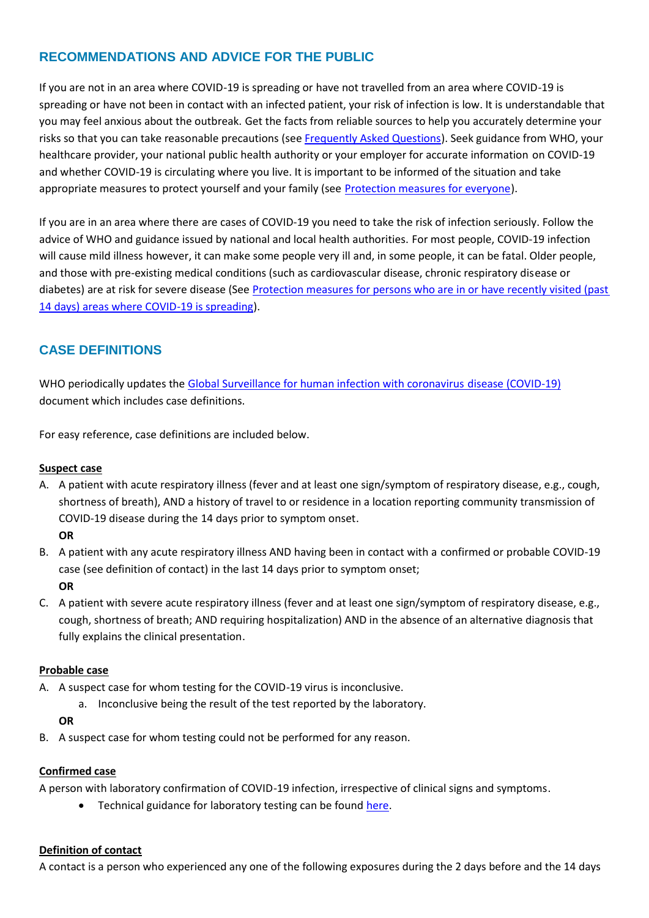# **RECOMMENDATIONS AND ADVICE FOR THE PUBLIC**

If you are not in an area where COVID-19 is spreading or have not travelled from an area where COVID-19 is spreading or have not been in contact with an infected patient, your risk of infection is low. It is understandable that you may feel anxious about the outbreak. Get the facts from reliable sources to help you accurately determine your risks so that you can take reasonable precautions (se[e Frequently Asked Questions\)](https://www.who.int/news-room/q-a-detail/q-a-coronaviruses). Seek guidance from WHO, your healthcare provider, your national public health authority or your employer for accurate information on COVID-19 and whether COVID-19 is circulating where you live. It is important to be informed of the situation and take appropriate measures to protect yourself and your family (see [Protection measures for everyone\)](https://www.who.int/emergencies/diseases/novel-coronavirus-2019/advice-for-public).

If you are in an area where there are cases of COVID-19 you need to take the risk of infection seriously. Follow the advice of WHO and guidance issued by national and local health authorities. For most people, COVID-19 infection will cause mild illness however, it can make some people very ill and, in some people, it can be fatal. Older people, and those with pre-existing medical conditions (such as cardiovascular disease, chronic respiratory disease or diabetes) are at risk for severe disease (Se[e Protection measures for persons who are in or have recently visited \(past](https://www.who.int/emergencies/diseases/novel-coronavirus-2019/advice-for-public)  [14 days\) areas where COVID-19 is spreading\)](https://www.who.int/emergencies/diseases/novel-coronavirus-2019/advice-for-public).

# **CASE DEFINITIONS**

WHO periodically updates the [Global Surveillance for human infection with coronavirus disease \(COVID-19\)](https://www.who.int/publications-detail/global-surveillance-for-human-infection-with-novel-coronavirus-(2019-ncov)) document which includes case definitions.

For easy reference, case definitions are included below.

#### **Suspect case**

- A. A patient with acute respiratory illness (fever and at least one sign/symptom of respiratory disease, e.g., cough, shortness of breath), AND a history of travel to or residence in a location reporting community transmission of COVID-19 disease during the 14 days prior to symptom onset.
	- **OR**
- B. A patient with any acute respiratory illness AND having been in contact with a confirmed or probable COVID-19 case (see definition of contact) in the last 14 days prior to symptom onset;

#### **OR**

C. A patient with severe acute respiratory illness (fever and at least one sign/symptom of respiratory disease, e.g., cough, shortness of breath; AND requiring hospitalization) AND in the absence of an alternative diagnosis that fully explains the clinical presentation.

#### **Probable case**

- A. A suspect case for whom testing for the COVID-19 virus is inconclusive.
	- a. Inconclusive being the result of the test reported by the laboratory.

**OR**

B. A suspect case for whom testing could not be performed for any reason.

#### **Confirmed case**

A person with laboratory confirmation of COVID-19 infection, irrespective of clinical signs and symptoms.

• Technical guidance for laboratory testing can be found [here.](https://www.who.int/emergencies/diseases/novel-coronavirus-2019/technical-guidance/laboratory-guidance)

#### **Definition of contact**

A contact is a person who experienced any one of the following exposures during the 2 days before and the 14 days